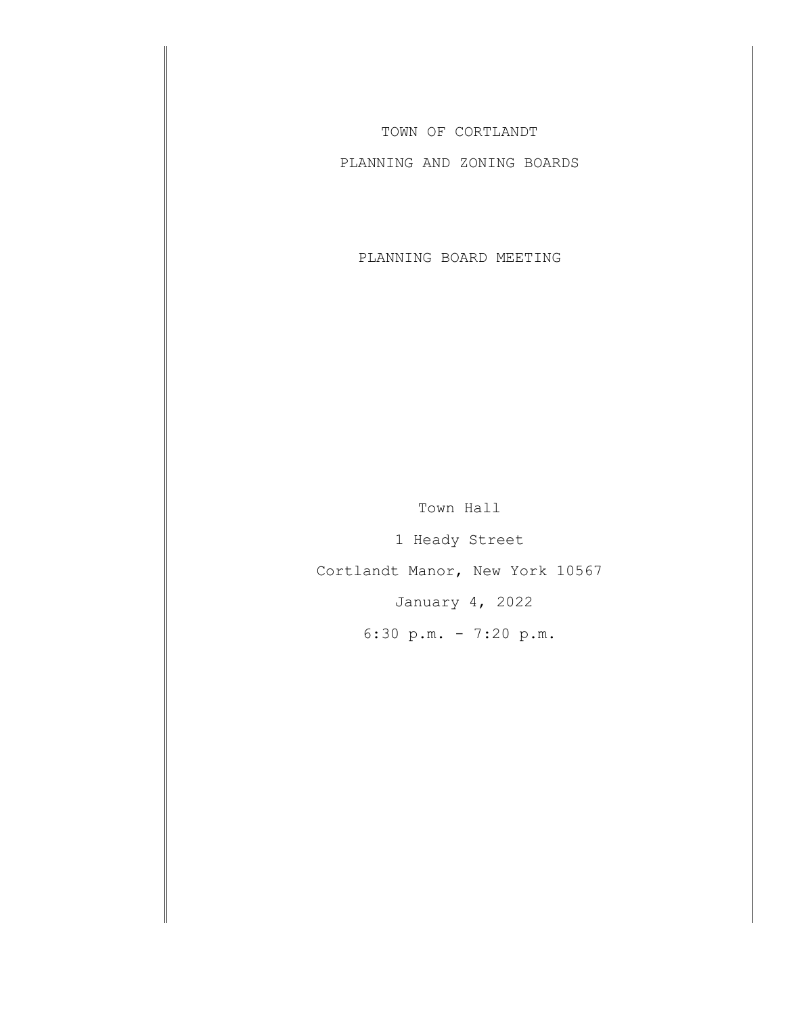TOWN OF CORTLANDT

PLANNING AND ZONING BOARDS

PLANNING BOARD MEETING

Town Hall 1 Heady Street Cortlandt Manor, New York 10567 January 4, 2022

6:30 p.m. - 7:20 p.m.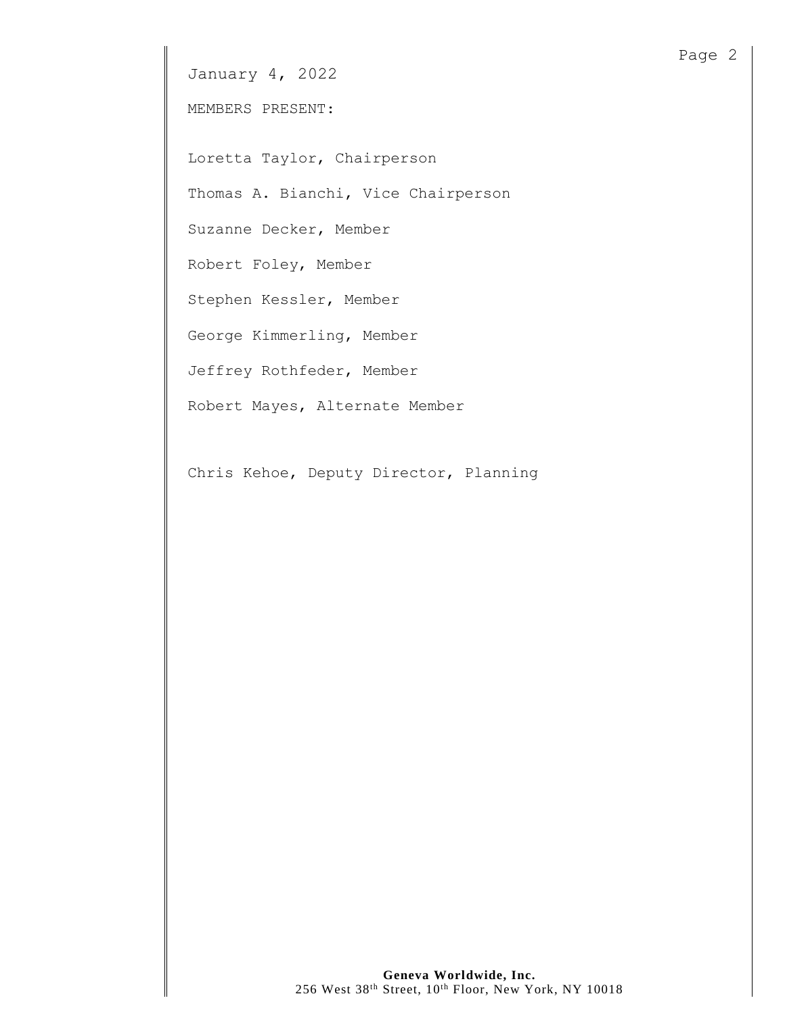MEMBERS PRESENT:

Loretta Taylor, Chairperson

Thomas A. Bianchi, Vice Chairperson

Suzanne Decker, Member

Robert Foley, Member

Stephen Kessler, Member

George Kimmerling, Member

Jeffrey Rothfeder, Member

Robert Mayes, Alternate Member

Chris Kehoe, Deputy Director, Planning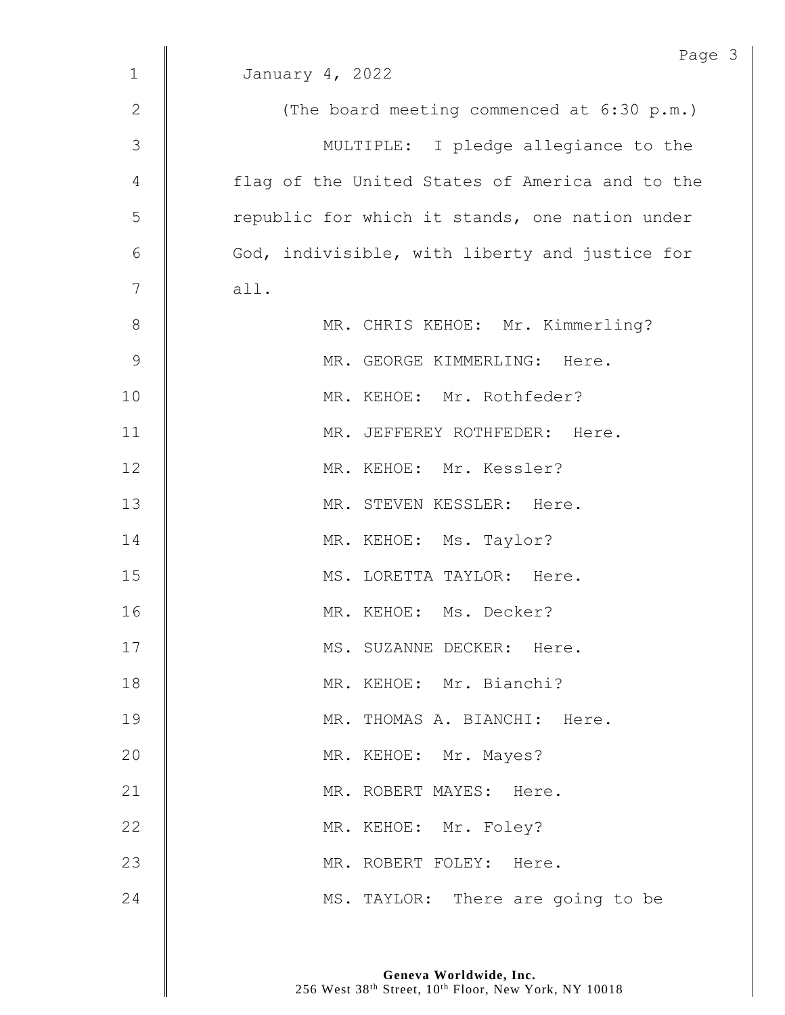|               | Page                                            |
|---------------|-------------------------------------------------|
| $\mathbf{1}$  | January 4, 2022                                 |
| $\mathbf{2}$  | (The board meeting commenced at 6:30 p.m.)      |
| 3             | MULTIPLE: I pledge allegiance to the            |
| 4             | flag of the United States of America and to the |
| 5             | republic for which it stands, one nation under  |
| 6             | God, indivisible, with liberty and justice for  |
| 7             | all.                                            |
| 8             | MR. CHRIS KEHOE: Mr. Kimmerling?                |
| $\mathcal{G}$ | MR. GEORGE KIMMERLING: Here.                    |
| 10            | MR. KEHOE: Mr. Rothfeder?                       |
| 11            | MR. JEFFEREY ROTHFEDER: Here.                   |
| 12            | MR. KEHOE: Mr. Kessler?                         |
| 13            | MR. STEVEN KESSLER: Here.                       |
| 14            | MR. KEHOE: Ms. Taylor?                          |
| 15            | MS. LORETTA TAYLOR: Here.                       |
| 16            | MR. KEHOE: Ms. Decker?                          |
|               |                                                 |
| 17            | MS. SUZANNE DECKER: Here.                       |
| 18            | MR. KEHOE: Mr. Bianchi?                         |
| 19            | MR. THOMAS A. BIANCHI: Here.                    |
| 20            | MR. KEHOE: Mr. Mayes?                           |
| 21            | MR. ROBERT MAYES: Here.                         |
| 22            | MR. KEHOE: Mr. Foley?                           |
| 23            | MR. ROBERT FOLEY: Here.                         |
| 24            | MS. TAYLOR: There are going to be               |

 $\mathfrak{Z}$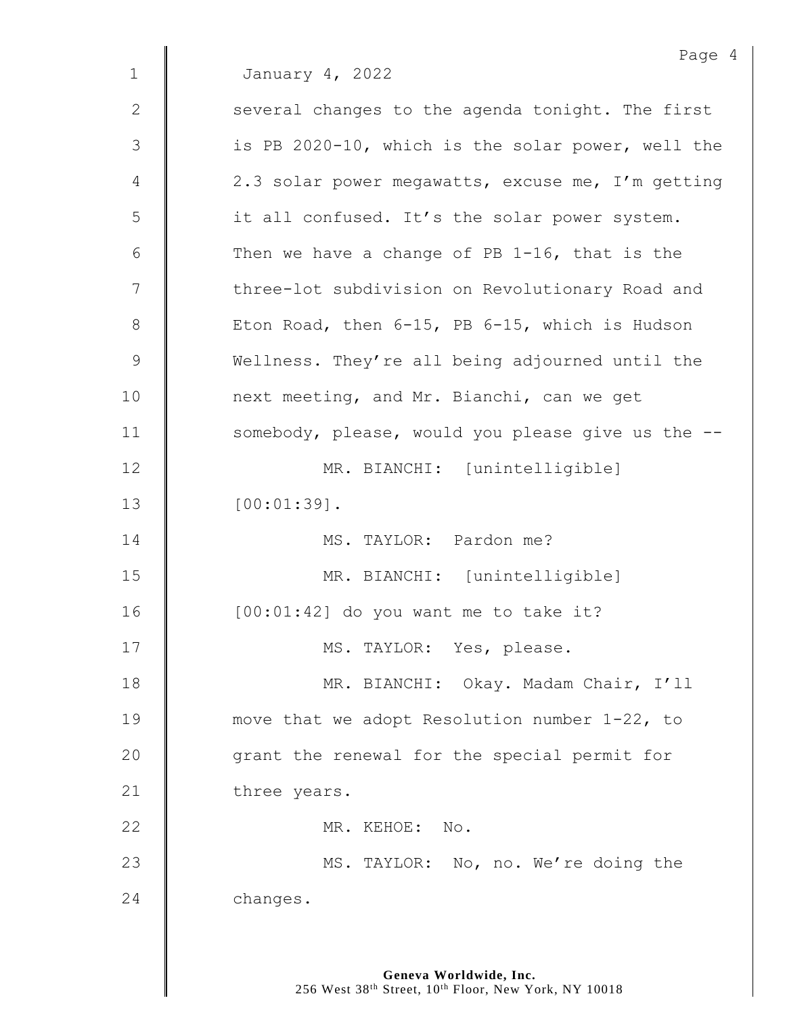Page 4 1 January 4, 2022  $2 \parallel$  several changes to the agenda tonight. The first 3 | is PB 2020-10, which is the solar power, well the 4 | 2.3 solar power megawatts, excuse me, I'm getting 5 | it all confused. It's the solar power system. 6  $\parallel$  Then we have a change of PB 1-16, that is the 7 | three-lot subdivision on Revolutionary Road and 8  $\parallel$  Eton Road, then 6-15, PB 6-15, which is Hudson 9 Wellness. They're all being adjourned until the 10 | next meeting, and Mr. Bianchi, can we get 11 | somebody, please, would you please give us the --12 | MR. BIANCHI: [unintelligible]  $13 \parallel 100:01:39$ ]. 14 MS. TAYLOR: Pardon me? 15 MR. BIANCHI: [unintelligible] 16 [00:01:42] do you want me to take it? 17 | MS. TAYLOR: Yes, please. 18 | MR. BIANCHI: Okay. Madam Chair, I'll 19 move that we adopt Resolution number 1-22, to 20 **qrant the renewal for the special permit for** 21 three years. 22 | MR. KEHOE: No. 23 | MS. TAYLOR: No, no. We're doing the 24 **changes.**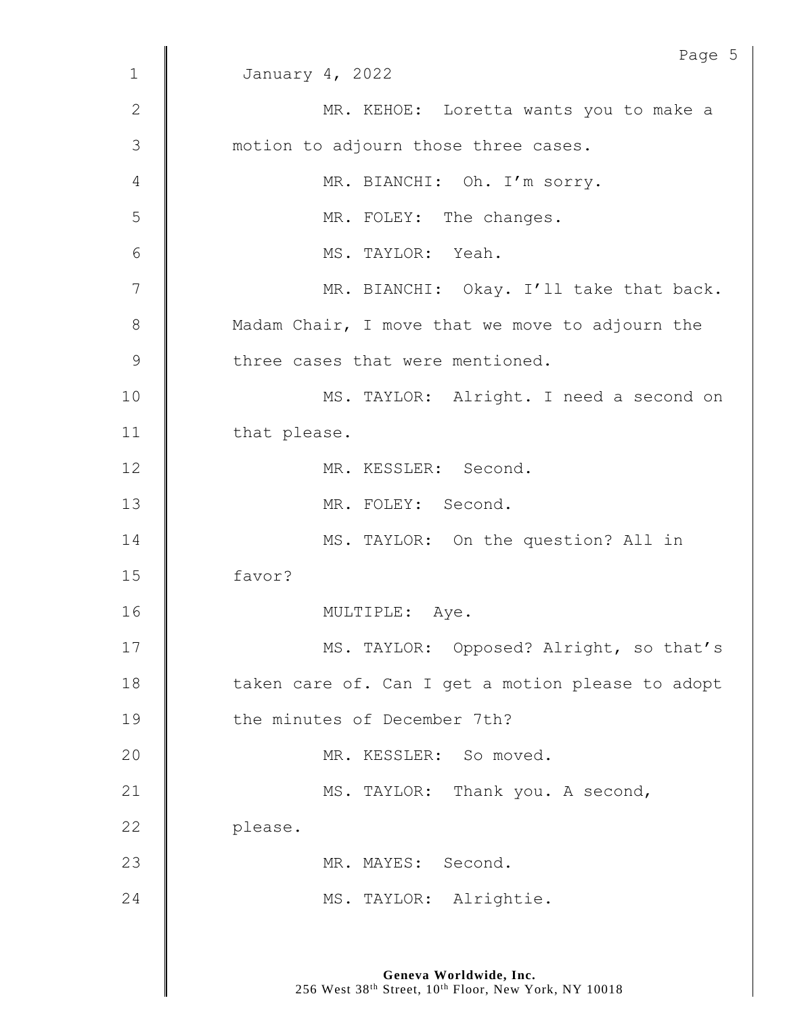|              | Page 5                                            |
|--------------|---------------------------------------------------|
| $\mathbf 1$  | January 4, 2022                                   |
| $\mathbf{2}$ | MR. KEHOE: Loretta wants you to make a            |
| 3            | motion to adjourn those three cases.              |
| 4            | MR. BIANCHI: Oh. I'm sorry.                       |
| 5            | MR. FOLEY: The changes.                           |
| 6            | MS. TAYLOR: Yeah.                                 |
| 7            | MR. BIANCHI: Okay. I'll take that back.           |
| 8            | Madam Chair, I move that we move to adjourn the   |
| 9            | three cases that were mentioned.                  |
| 10           | MS. TAYLOR: Alright. I need a second on           |
| 11           | that please.                                      |
| 12           | MR. KESSLER: Second.                              |
| 13           | MR. FOLEY: Second.                                |
| 14           | MS. TAYLOR: On the question? All in               |
| 15           | favor?                                            |
| 16           | MULTIPLE:<br>Aye.                                 |
| 17           | MS. TAYLOR: Opposed? Alright, so that's           |
| 18           | taken care of. Can I get a motion please to adopt |
| 19           | the minutes of December 7th?                      |
| 20           | MR. KESSLER: So moved.                            |
| 21           | MS. TAYLOR: Thank you. A second,                  |
| 22           | please.                                           |
| 23           | MR. MAYES: Second.                                |
| 24           | MS. TAYLOR: Alrightie.                            |
|              |                                                   |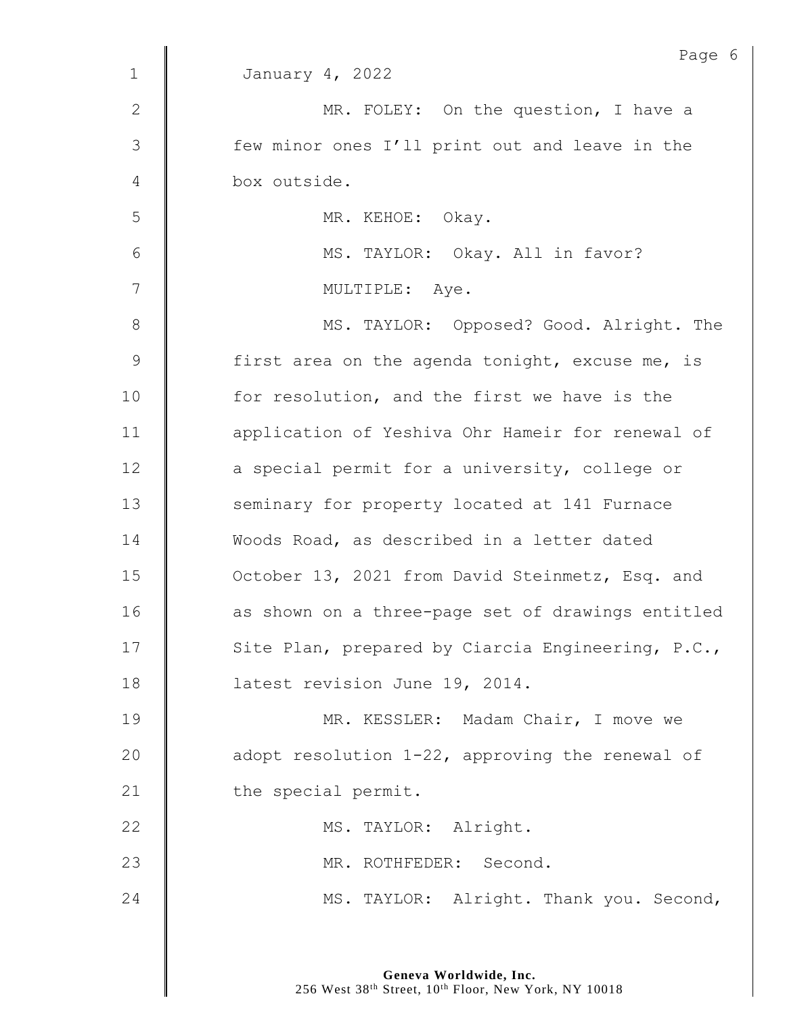|                | Page 6                                            |
|----------------|---------------------------------------------------|
| $\mathbf 1$    | January 4, 2022                                   |
| $\mathbf{2}$   | MR. FOLEY: On the question, I have a              |
| $\mathfrak{Z}$ | few minor ones I'll print out and leave in the    |
| 4              | box outside.                                      |
| 5              | MR. KEHOE: Okay.                                  |
| 6              | MS. TAYLOR: Okay. All in favor?                   |
| 7              | MULTIPLE: Aye.                                    |
| $8\,$          | MS. TAYLOR: Opposed? Good. Alright. The           |
| $\mathsf 9$    | first area on the agenda tonight, excuse me, is   |
| 10             | for resolution, and the first we have is the      |
| 11             | application of Yeshiva Ohr Hameir for renewal of  |
| 12             | a special permit for a university, college or     |
| 13             | seminary for property located at 141 Furnace      |
| 14             | Woods Road, as described in a letter dated        |
| 15             | October 13, 2021 from David Steinmetz, Esq. and   |
| 16             | as shown on a three-page set of drawings entitled |
| 17             | Site Plan, prepared by Ciarcia Engineering, P.C., |
| 18             | latest revision June 19, 2014.                    |
| 19             | MR. KESSLER: Madam Chair, I move we               |
| 20             | adopt resolution 1-22, approving the renewal of   |
| 21             | the special permit.                               |
| 22             | MS. TAYLOR: Alright.                              |
| 23             | MR. ROTHFEDER: Second.                            |
| 24             | MS. TAYLOR: Alright. Thank you. Second,           |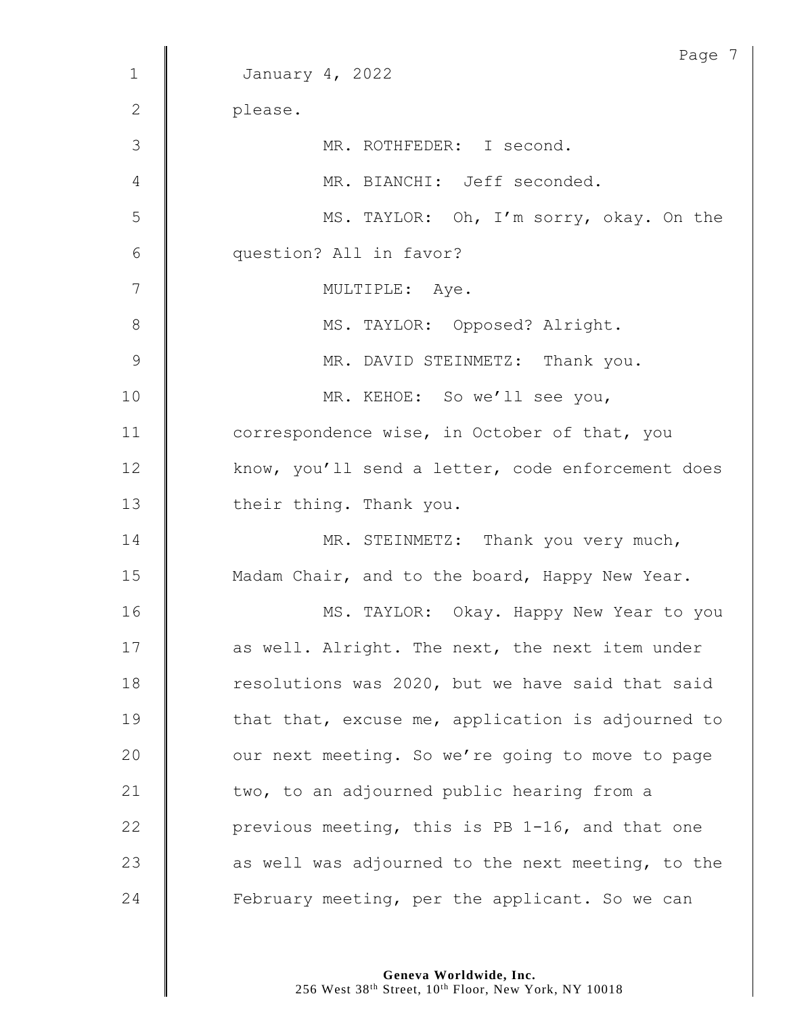|              | Page 7                                            |
|--------------|---------------------------------------------------|
| $\mathbf 1$  | January 4, 2022                                   |
| $\mathbf{2}$ | please.                                           |
| 3            | MR. ROTHFEDER: I second.                          |
| 4            | MR. BIANCHI: Jeff seconded.                       |
| 5            | MS. TAYLOR: Oh, I'm sorry, okay. On the           |
| 6            | question? All in favor?                           |
| 7            | MULTIPLE: Aye.                                    |
| $8\,$        | MS. TAYLOR: Opposed? Alright.                     |
| 9            | MR. DAVID STEINMETZ: Thank you.                   |
| 10           | MR. KEHOE: So we'll see you,                      |
| 11           | correspondence wise, in October of that, you      |
| 12           | know, you'll send a letter, code enforcement does |
| 13           | their thing. Thank you.                           |
| 14           | MR. STEINMETZ: Thank you very much,               |
| 15           | Madam Chair, and to the board, Happy New Year.    |
| 16           | MS. TAYLOR: Okay. Happy New Year to you           |
| 17           | as well. Alright. The next, the next item under   |
| 18           | resolutions was 2020, but we have said that said  |
| 19           | that that, excuse me, application is adjourned to |
| 20           | our next meeting. So we're going to move to page  |
| 21           | two, to an adjourned public hearing from a        |
| 22           | previous meeting, this is PB 1-16, and that one   |
| 23           | as well was adjourned to the next meeting, to the |
| 24           | February meeting, per the applicant. So we can    |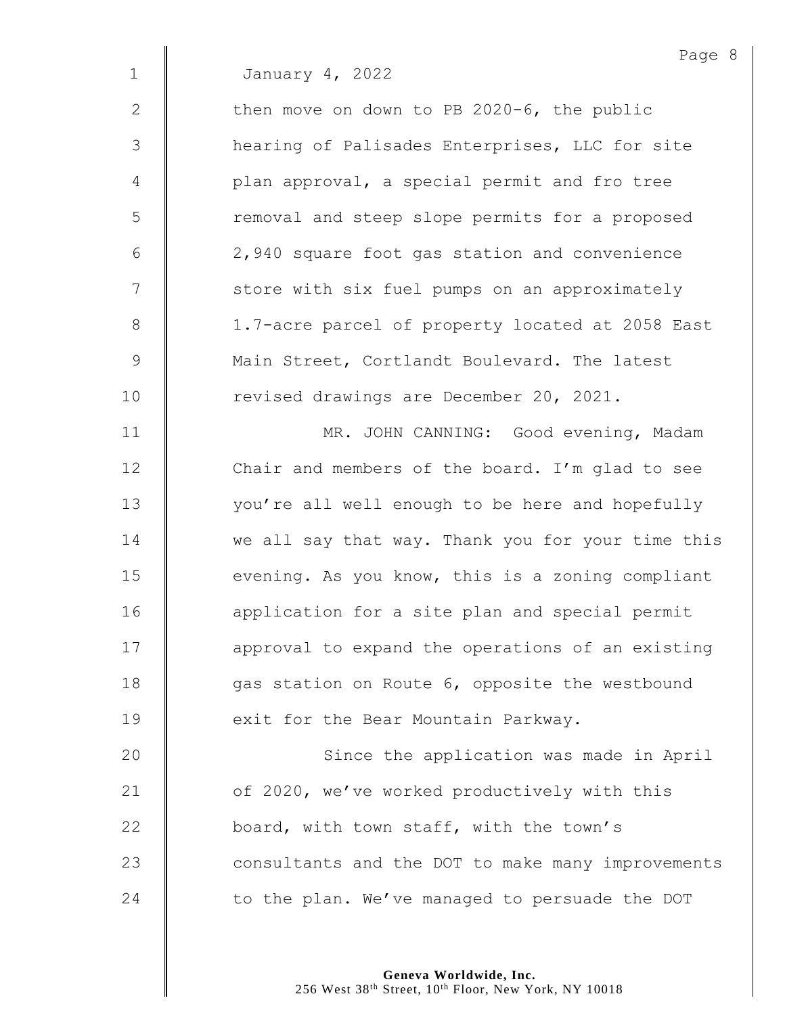2 Then move on down to PB 2020-6, the public 3 | hearing of Palisades Enterprises, LLC for site 4 | plan approval, a special permit and fro tree 5 | Temoval and steep slope permits for a proposed 6 2,940 square foot gas station and convenience 7 | store with six fuel pumps on an approximately 8 | 1.7-acre parcel of property located at 2058 East 9 Main Street, Cortlandt Boulevard. The latest 10 | revised drawings are December 20, 2021. 11 | MR. JOHN CANNING: Good evening, Madam 12 Chair and members of the board. I'm glad to see

13 | vou're all well enough to be here and hopefully 14 we all say that way. Thank you for your time this  $15$   $\parallel$  evening. As you know, this is a zoning compliant 16 **deg is application** for a site plan and special permit 17 | approval to expand the operations of an existing 18 qas station on Route 6, opposite the westbound 19 **EXAM** exit for the Bear Mountain Parkway.

20 | Since the application was made in April 21 | of 2020, we've worked productively with this 22 **board, with town staff, with the town's** 23 **Consultants and the DOT to make many improvements** 24  $\parallel$  to the plan. We've managed to persuade the DOT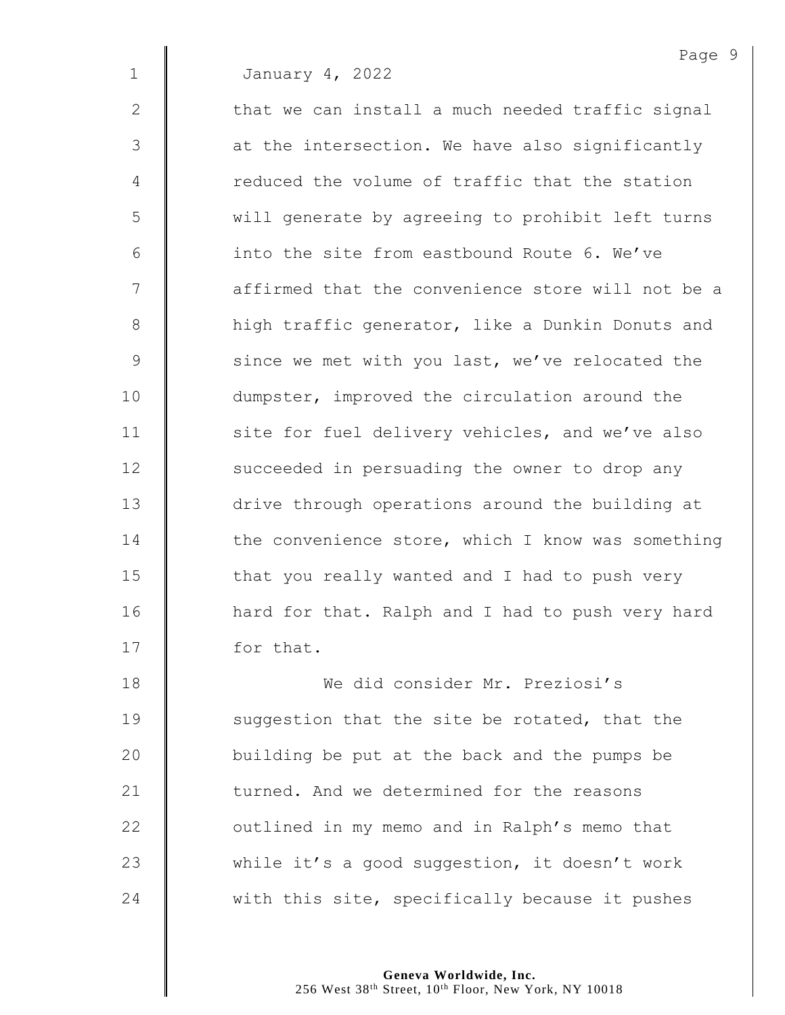$2 \parallel$  that we can install a much needed traffic signal  $3 \parallel$  at the intersection. We have also significantly 4 The reduced the volume of traffic that the station 5 || will generate by agreeing to prohibit left turns 6  $\parallel$  into the site from eastbound Route 6. We've 7 | affirmed that the convenience store will not be a 8 | high traffic generator, like a Dunkin Donuts and  $9 \parallel$  since we met with you last, we've relocated the 10 | dumpster, improved the circulation around the 11 | site for fuel delivery vehicles, and we've also 12 | succeeded in persuading the owner to drop any 13  $\parallel$  drive through operations around the building at  $14$   $\parallel$  the convenience store, which I know was something  $15$   $\parallel$  that you really wanted and I had to push very 16 | hard for that. Ralph and I had to push very hard 17 | for that.

 We did consider Mr. Preziosi's **Suggestion** that the site be rotated, that the  $\parallel$  building be put at the back and the pumps be **turned.** And we determined for the reasons  $\parallel$  outlined in my memo and in Ralph's memo that  $\parallel$  while it's a good suggestion, it doesn't work  $\parallel$  with this site, specifically because it pushes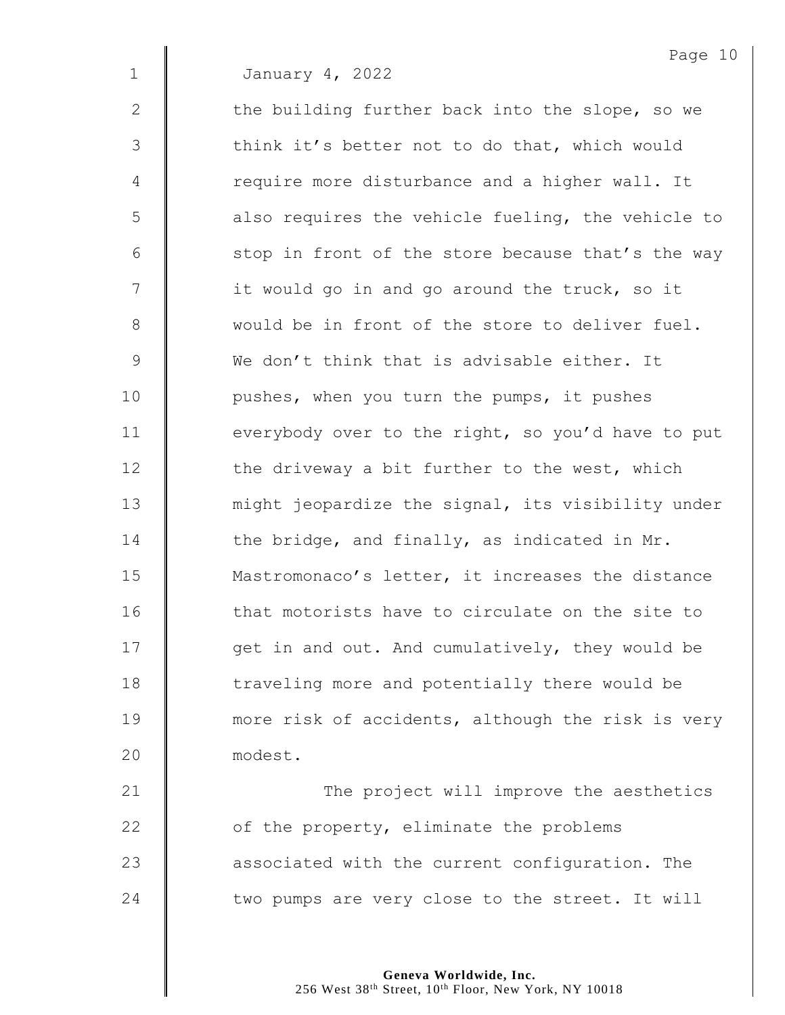2  $\parallel$  the building further back into the slope, so we 3 | think it's better not to do that, which would 4 Tequire more disturbance and a higher wall. It 5 | also requires the vehicle fueling, the vehicle to  $6$  | stop in front of the store because that's the way 7 | it would go in and go around the truck, so it 8 || would be in front of the store to deliver fuel. 9 We don't think that is advisable either. It 10 | pushes, when you turn the pumps, it pushes 11 **everybody over to the right, so you'd have to put** 12  $\parallel$  the driveway a bit further to the west, which 13 | might jeopardize the signal, its visibility under 14  $\parallel$  the bridge, and finally, as indicated in Mr. 15 **Mastromonaco's letter, it increases the distance** 16 that motorists have to circulate on the site to 17 | get in and out. And cumulatively, they would be 18 | traveling more and potentially there would be 19 **more risk of accidents, although the risk is very** 20 modest.

21 | The project will improve the aesthetics  $\parallel$  of the property, eliminate the problems **a** associated with the current configuration. The  $\parallel$  two pumps are very close to the street. It will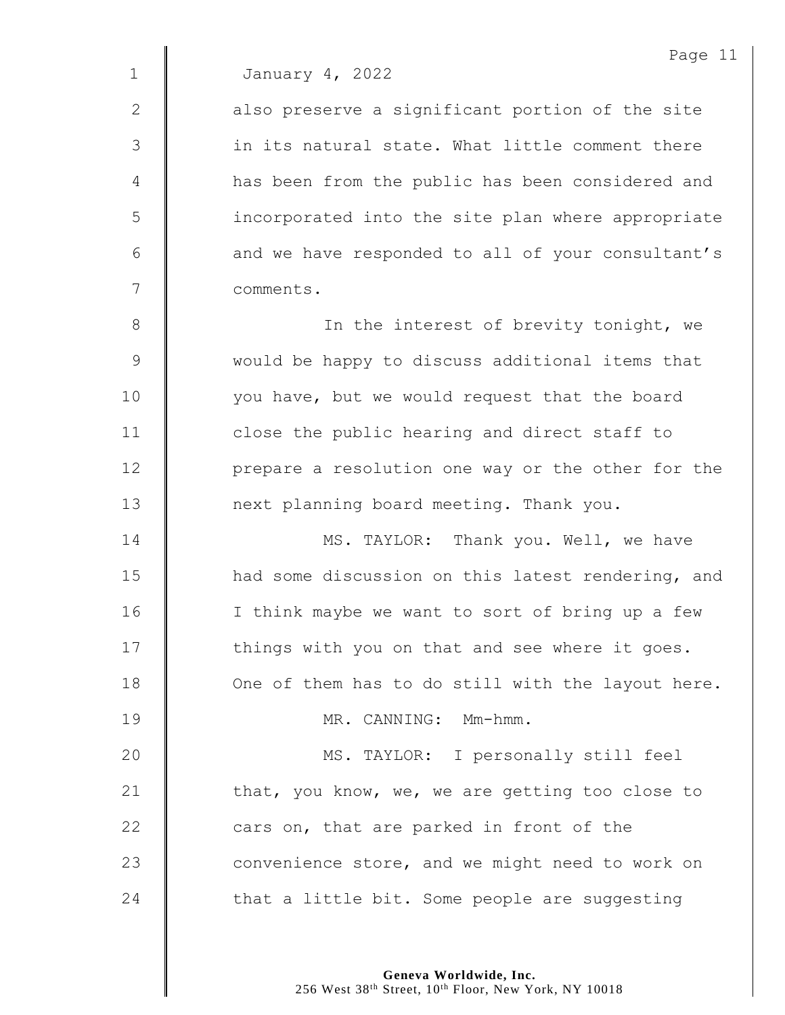2 || also preserve a significant portion of the site 3  $\parallel$  in its natural state. What little comment there 4 | has been from the public has been considered and 5 incorporated into the site plan where appropriate 6 | and we have responded to all of your consultant's 7 comments.

8 || In the interest of brevity tonight, we 9 Would be happy to discuss additional items that 10 | vou have, but we would request that the board 11 | close the public hearing and direct staff to 12 | prepare a resolution one way or the other for the 13 | next planning board meeting. Thank you.

**MS. TAYLOR:** Thank you. Well, we have 15 | had some discussion on this latest rendering, and 16 | I think maybe we want to sort of bring up a few 17 | things with you on that and see where it goes. **One of them has to do still with the layout here.** 19 || MR. CANNING: Mm-hmm. MS. TAYLOR: I personally still feel  $\parallel$  that, you know, we, we are getting too close to  $\parallel$  cars on, that are parked in front of the **Convenience store, and we might need to work on**  $\parallel$  that a little bit. Some people are suggesting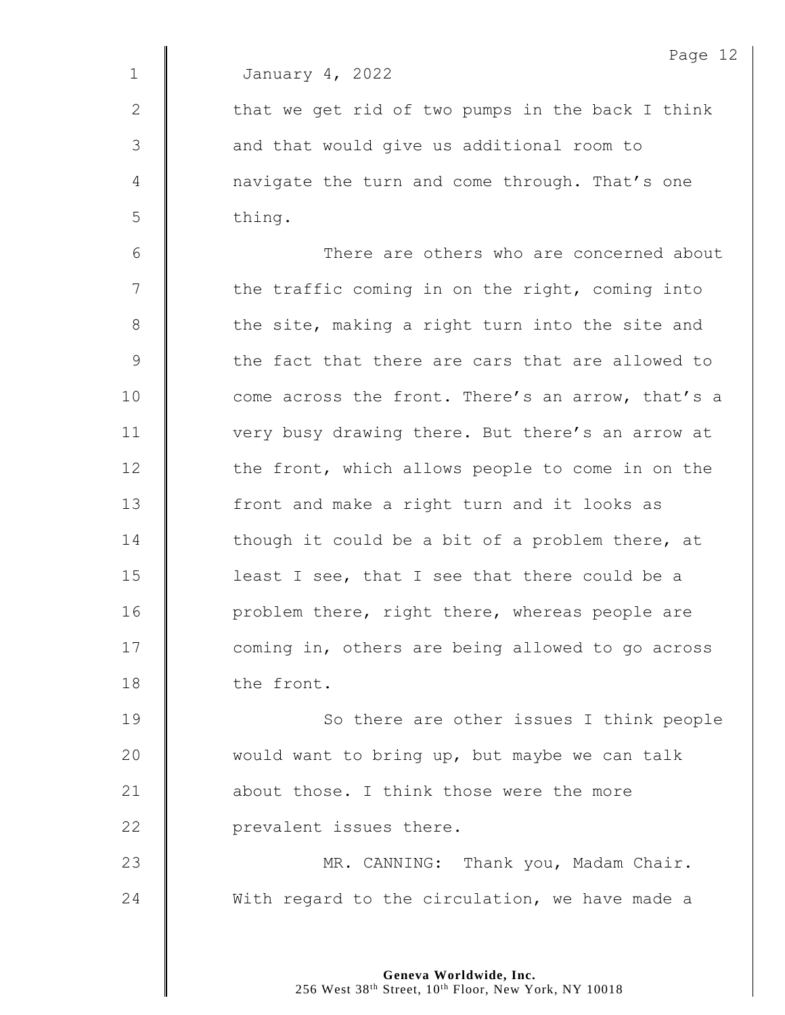$2 \parallel$  that we get rid of two pumps in the back I think 3 || and that would give us additional room to 4 | navigate the turn and come through. That's one  $5 \parallel$  thing.

6 There are others who are concerned about  $7$   $\parallel$  the traffic coming in on the right, coming into  $8 \parallel$  the site, making a right turn into the site and 9 Solut the fact that there are cars that are allowed to 10 **come** across the front. There's an arrow, that's a 11 | very busy drawing there. But there's an arrow at 12 | the front, which allows people to come in on the 13 | front and make a right turn and it looks as 14  $\parallel$  though it could be a bit of a problem there, at 15  $\parallel$  least I see, that I see that there could be a 16 | problem there, right there, whereas people are 17 | coming in, others are being allowed to go across 18 the front.

**So there are other issues I think people**  $\parallel$  would want to bring up, but maybe we can talk **about those.** I think those were the more **prevalent** issues there.

23 | MR. CANNING: Thank you, Madam Chair.  $24$  With regard to the circulation, we have made a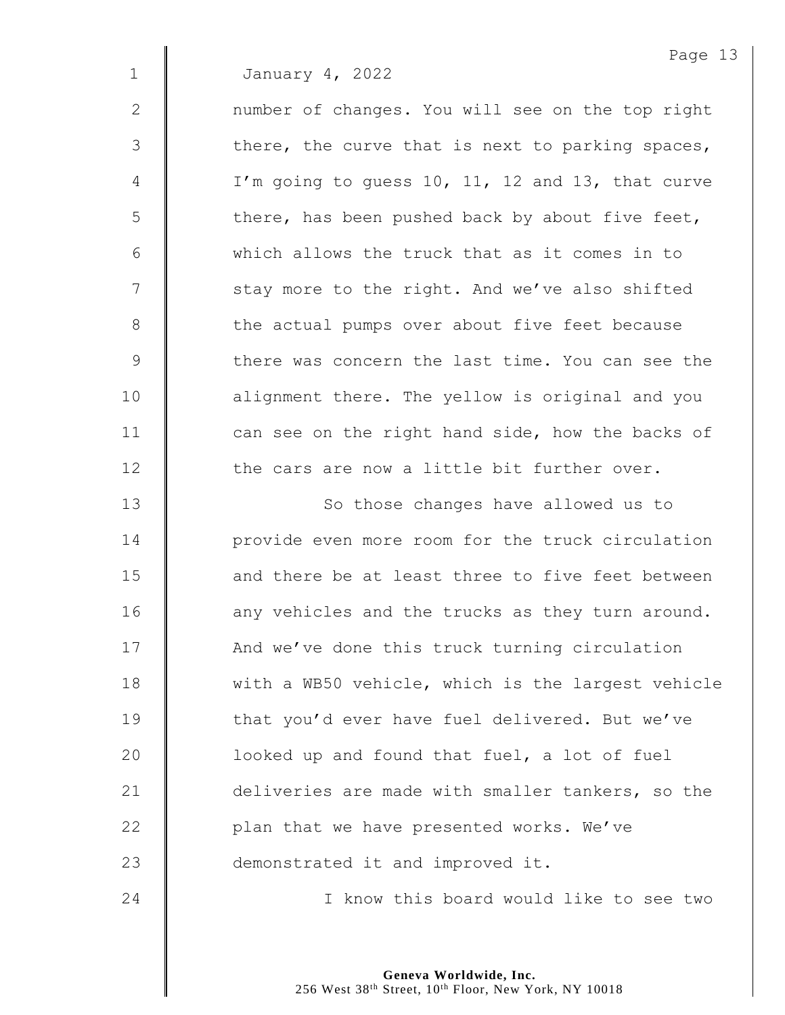2 | number of changes. You will see on the top right  $3 \parallel$  there, the curve that is next to parking spaces,  $4 \parallel$  I'm going to guess 10, 11, 12 and 13, that curve  $5 \parallel$  there, has been pushed back by about five feet, 6 which allows the truck that as it comes in to 7 | stay more to the right. And we've also shifted 8 | the actual pumps over about five feet because 9 Solut there was concern the last time. You can see the 10 | alignment there. The yellow is original and you 11  $\parallel$  can see on the right hand side, how the backs of 12 **the cars are now a little bit further over.** 

13 || So those changes have allowed us to **decive** provide even more room for the truck circulation **and there be at least three to five feet between** 16 | any vehicles and the trucks as they turn around. 17 | And we've done this truck turning circulation 18 Weith a WB50 vehicle, which is the largest vehicle **that you'd ever have fuel delivered. But we've**  $\parallel$  looked up and found that fuel, a lot of fuel **deliveries are made with smaller tankers, so the**  $\parallel$  plan that we have presented works. We've **demonstrated it and improved it.** 

24 | Chambridge Theory this board would like to see two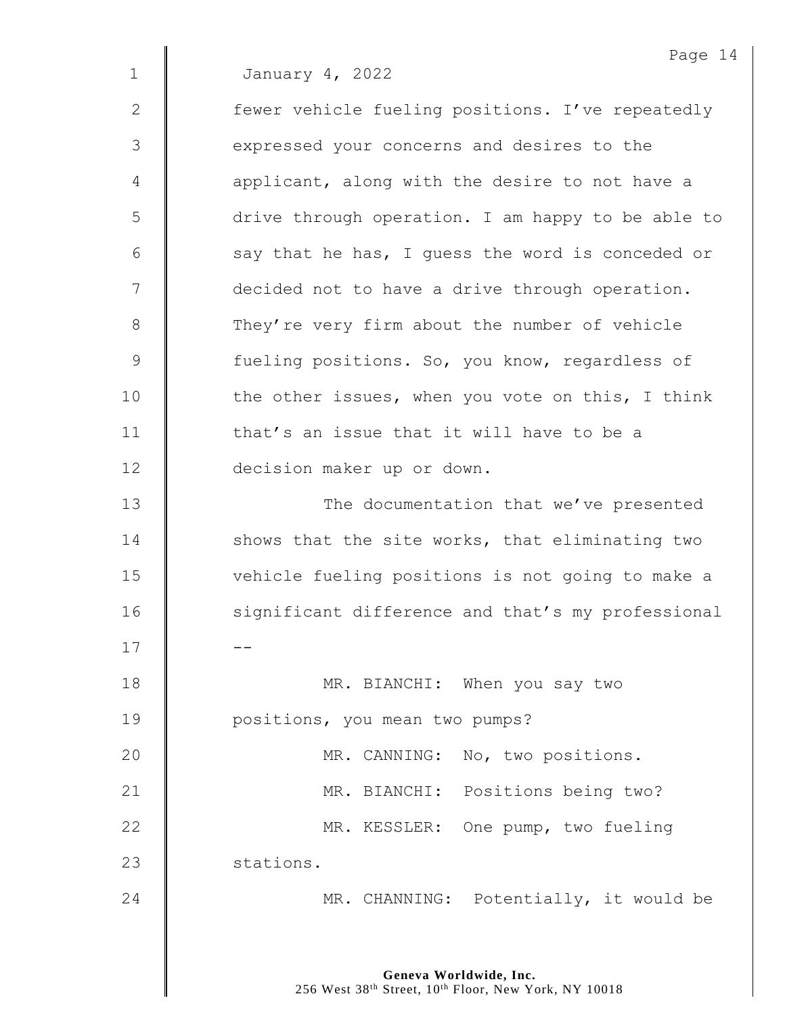2 | fewer vehicle fueling positions. I've repeatedly 3 | expressed your concerns and desires to the  $4 \parallel$  applicant, along with the desire to not have a 5 drive through operation. I am happy to be able to  $6 \parallel$  say that he has, I guess the word is conceded or 7  $\parallel$  decided not to have a drive through operation. 8 They're very firm about the number of vehicle 9 **Julie** fueling positions. So, you know, regardless of  $10$   $\parallel$  the other issues, when you vote on this, I think 11 **d** that's an issue that it will have to be a 12 decision maker up or down. 13 **The documentation that we've presented** 14 Shows that the site works, that eliminating two 15 | vehicle fueling positions is not going to make a 16 | significant difference and that's my professional  $17$   $\parallel$   $-$ 18 **MR. BIANCHI:** When you say two

19 | positions, you mean two pumps?

20 | MR. CANNING: No, two positions. 21 | MR. BIANCHI: Positions being two? 22 | MR. KESSLER: One pump, two fueling 23 stations.

24 **MR. CHANNING:** Potentially, it would be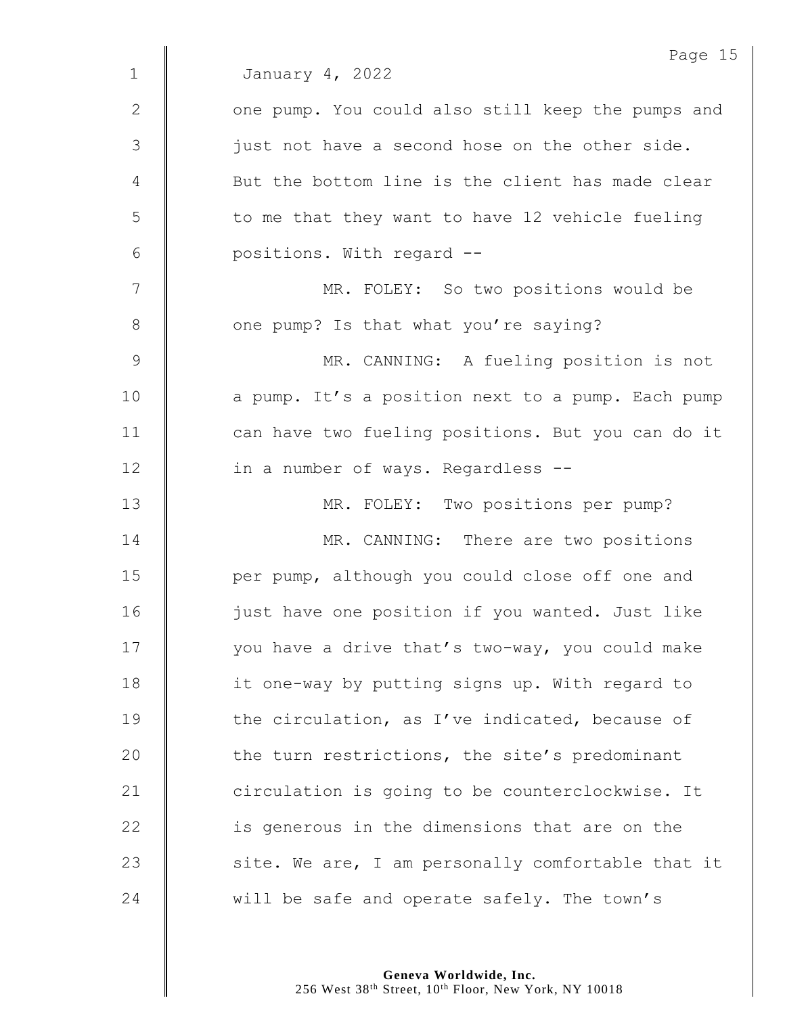|                | Page 15                                           |
|----------------|---------------------------------------------------|
| $\mathbf 1$    | January 4, 2022                                   |
| $\mathbf{2}$   | one pump. You could also still keep the pumps and |
| 3              | just not have a second hose on the other side.    |
| 4              | But the bottom line is the client has made clear  |
| 5              | to me that they want to have 12 vehicle fueling   |
| $6\,$          | positions. With regard --                         |
| $\overline{7}$ | MR. FOLEY: So two positions would be              |
| $\,8\,$        | one pump? Is that what you're saying?             |
| $\overline{9}$ | MR. CANNING: A fueling position is not            |
| 10             | a pump. It's a position next to a pump. Each pump |
| 11             | can have two fueling positions. But you can do it |
| 12             | in a number of ways. Regardless --                |
| 13             | MR. FOLEY: Two positions per pump?                |
| 14             | MR. CANNING: There are two positions              |
| 15             | per pump, although you could close off one and    |
| 16             | just have one position if you wanted. Just like   |
| 17             | you have a drive that's two-way, you could make   |
| 18             | it one-way by putting signs up. With regard to    |
| 19             | the circulation, as I've indicated, because of    |
| 20             | the turn restrictions, the site's predominant     |
| 21             | circulation is going to be counterclockwise. It   |
| 22             | is generous in the dimensions that are on the     |
| 23             | site. We are, I am personally comfortable that it |
| 24             | will be safe and operate safely. The town's       |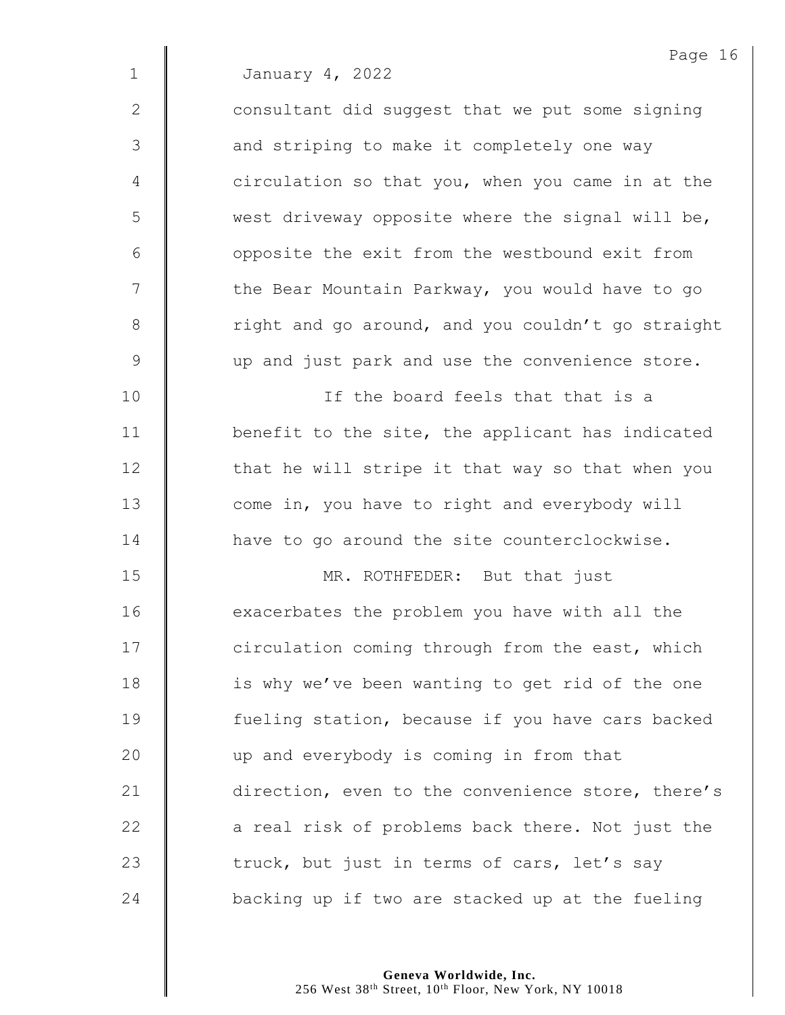|              | Page 16                                           |
|--------------|---------------------------------------------------|
| $\mathbf{1}$ | January 4, 2022                                   |
| $\mathbf{2}$ | consultant did suggest that we put some signing   |
| 3            | and striping to make it completely one way        |
| 4            | circulation so that you, when you came in at the  |
| 5            | west driveway opposite where the signal will be,  |
| 6            | opposite the exit from the westbound exit from    |
| 7            | the Bear Mountain Parkway, you would have to go   |
| 8            | right and go around, and you couldn't go straight |
| 9            | up and just park and use the convenience store.   |
| 10           | If the board feels that that is a                 |
| 11           | benefit to the site, the applicant has indicated  |
| 12           | that he will stripe it that way so that when you  |
| 13           | come in, you have to right and everybody will     |
| 14           | have to go around the site counterclockwise.      |
| 15           | MR. ROTHFEDER: But that just                      |
| 16           | exacerbates the problem you have with all the     |
| 17           | circulation coming through from the east, which   |
| 18           | is why we've been wanting to get rid of the one   |
| 19           | fueling station, because if you have cars backed  |
| 20           | up and everybody is coming in from that           |
| 21           | direction, even to the convenience store, there's |
| 22           | a real risk of problems back there. Not just the  |
| 23           | truck, but just in terms of cars, let's say       |
| 24           | backing up if two are stacked up at the fueling   |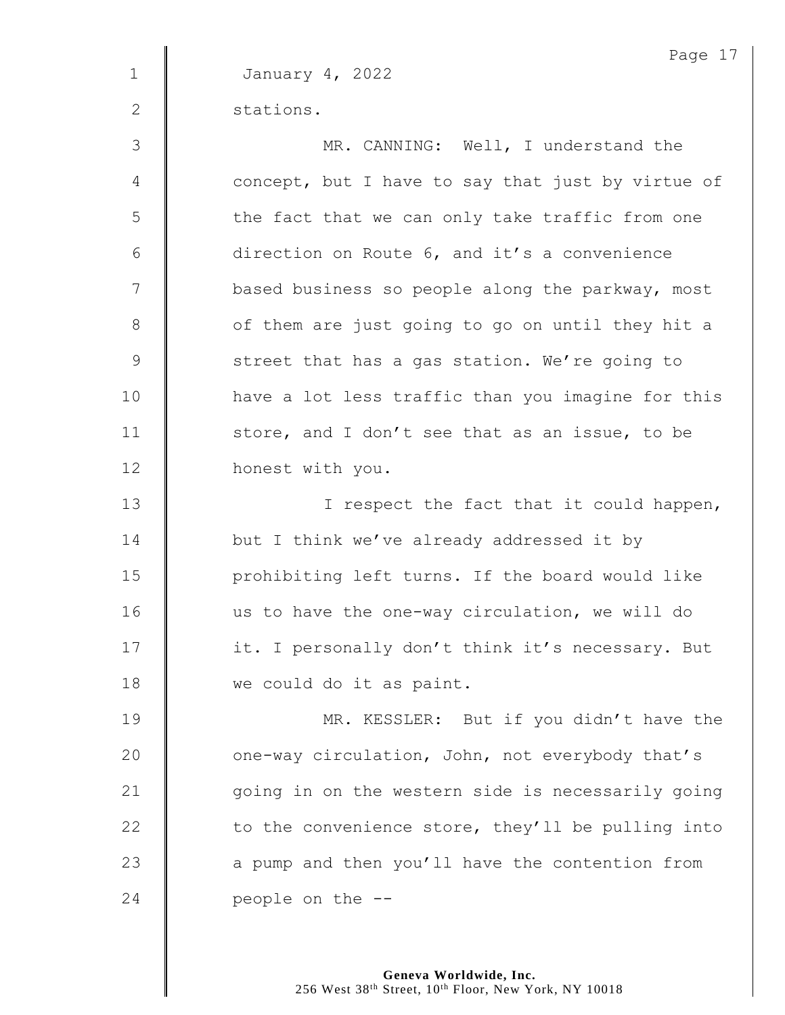Page 17 1 January 4, 2022 2 stations. 3 || MR. CANNING: Well, I understand the 4 **concept, but I have to say that just by virtue of**  $5 \parallel$  the fact that we can only take traffic from one 6  $\parallel$  direction on Route 6, and it's a convenience 7 | based business so people along the parkway, most 8 | of them are just going to go on until they hit a 9 Street that has a gas station. We're going to 10 | have a lot less traffic than you imagine for this 11 | store, and I don't see that as an issue, to be 12 | honest with you. 13 | I respect the fact that it could happen, 14 **but I** think we've already addressed it by 15 | prohibiting left turns. If the board would like 16 us to have the one-way circulation, we will do 17 | it. I personally don't think it's necessary. But 18 we could do it as paint. 19 **MR. KESSLER:** But if you didn't have the 20 **c** one-way circulation, John, not everybody that's 21 | going in on the western side is necessarily going 22  $\parallel$  to the convenience store, they'll be pulling into 23 | a pump and then you'll have the contention from 24  $\parallel$  people on the  $-$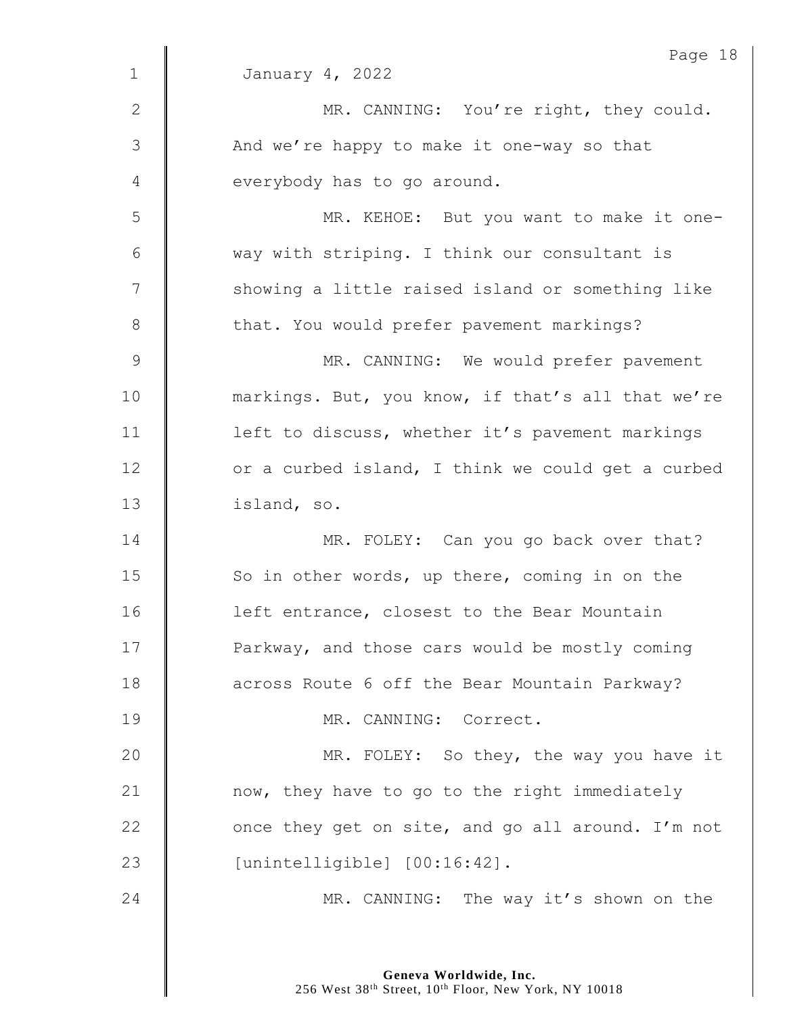|               | Page 18                                           |
|---------------|---------------------------------------------------|
| $\mathbf{1}$  | January 4, 2022                                   |
| $\mathbf{2}$  | MR. CANNING: You're right, they could.            |
| $\mathcal{S}$ | And we're happy to make it one-way so that        |
| 4             | everybody has to go around.                       |
| 5             | MR. KEHOE: But you want to make it one-           |
| 6             | way with striping. I think our consultant is      |
| 7             | showing a little raised island or something like  |
| $8\,$         | that. You would prefer pavement markings?         |
| $\mathcal{G}$ | MR. CANNING: We would prefer pavement             |
| 10            | markings. But, you know, if that's all that we're |
| 11            | left to discuss, whether it's pavement markings   |
| 12            | or a curbed island, I think we could get a curbed |
| 13            | island, so.                                       |
| 14            | MR. FOLEY: Can you go back over that?             |
| 15            | So in other words, up there, coming in on the     |
| 16            | left entrance, closest to the Bear Mountain       |
| 17            | Parkway, and those cars would be mostly coming    |
| 18            | across Route 6 off the Bear Mountain Parkway?     |
| 19            | MR. CANNING: Correct.                             |
| 20            | MR. FOLEY: So they, the way you have it           |
| 21            | now, they have to go to the right immediately     |
| 22            | once they get on site, and go all around. I'm not |
| 23            | [unintelligible] [00:16:42].                      |
| 24            | MR. CANNING: The way it's shown on the            |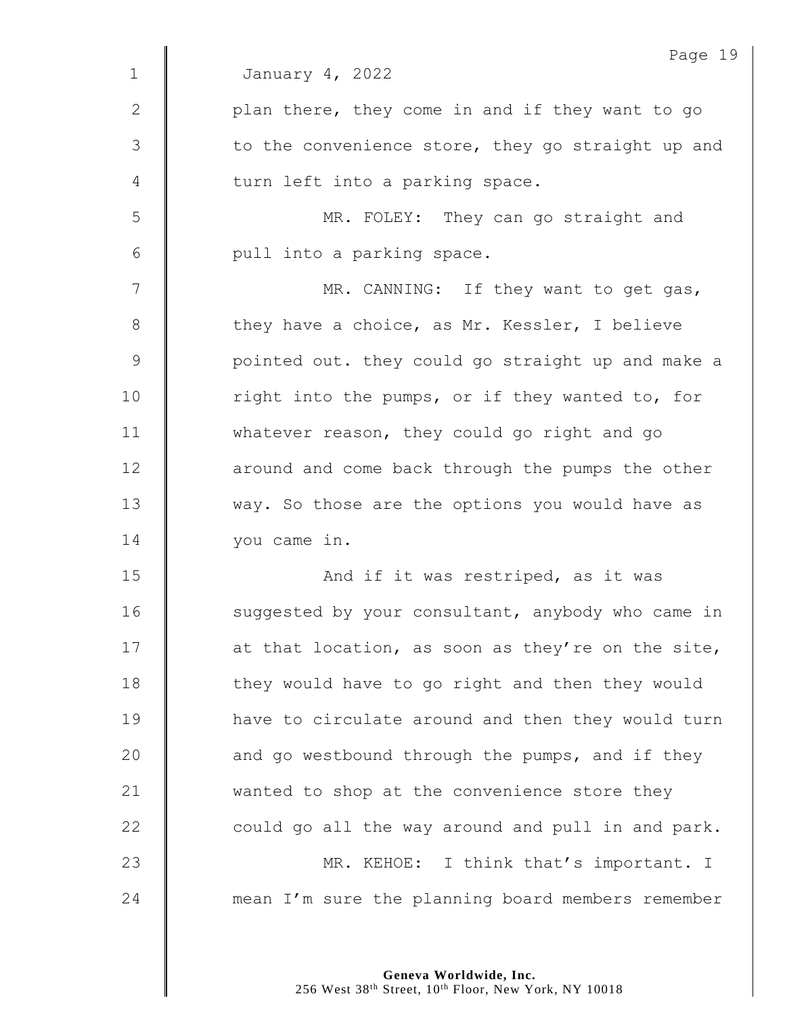|             | Page 19                                           |
|-------------|---------------------------------------------------|
| $\mathbf 1$ | January 4, 2022                                   |
| 2           | plan there, they come in and if they want to go   |
| 3           | to the convenience store, they go straight up and |
| 4           | turn left into a parking space.                   |
| 5           | MR. FOLEY: They can go straight and               |
| 6           | pull into a parking space.                        |
| 7           | MR. CANNING: If they want to get gas,             |
| 8           | they have a choice, as Mr. Kessler, I believe     |
| $\mathsf 9$ | pointed out. they could go straight up and make a |
| 10          | right into the pumps, or if they wanted to, for   |
| 11          | whatever reason, they could go right and go       |
| 12          | around and come back through the pumps the other  |
| 13          | way. So those are the options you would have as   |
| 14          | you came in.                                      |
| 15          | And if it was restriped, as it was                |
| 16          | suggested by your consultant, anybody who came in |
| 17          | at that location, as soon as they're on the site, |
| 18          | they would have to go right and then they would   |
| 19          | have to circulate around and then they would turn |
| 20          | and go westbound through the pumps, and if they   |
| 21          | wanted to shop at the convenience store they      |
| 22          | could go all the way around and pull in and park. |
| 23          | MR. KEHOE: I think that's important. I            |
| 24          | mean I'm sure the planning board members remember |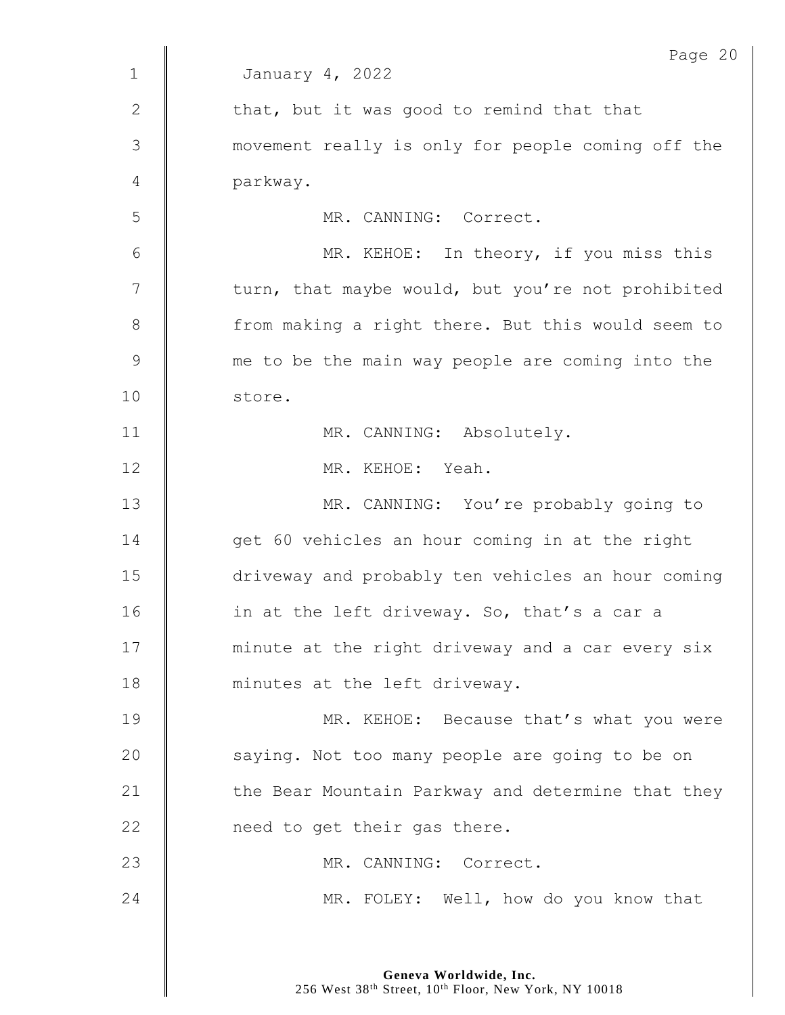|              | Page 20                                           |
|--------------|---------------------------------------------------|
| $\mathbf{1}$ | January 4, 2022                                   |
| $\mathbf{2}$ | that, but it was good to remind that that         |
| 3            | movement really is only for people coming off the |
| 4            | parkway.                                          |
| 5            | MR. CANNING: Correct.                             |
| 6            | MR. KEHOE: In theory, if you miss this            |
| 7            | turn, that maybe would, but you're not prohibited |
| $8\,$        | from making a right there. But this would seem to |
| $\mathsf 9$  | me to be the main way people are coming into the  |
| 10           | store.                                            |
| 11           | MR. CANNING: Absolutely.                          |
| 12           | MR. KEHOE: Yeah.                                  |
| 13           | MR. CANNING: You're probably going to             |
| 14           | get 60 vehicles an hour coming in at the right    |
| 15           | driveway and probably ten vehicles an hour coming |
| 16           | in at the left driveway. So, that's a car a       |
| 17           | minute at the right driveway and a car every six  |
| 18           | minutes at the left driveway.                     |
| 19           | MR. KEHOE: Because that's what you were           |
| 20           | saying. Not too many people are going to be on    |
| 21           | the Bear Mountain Parkway and determine that they |
| 22           | need to get their gas there.                      |
| 23           | MR. CANNING: Correct.                             |
| 24           | MR. FOLEY: Well, how do you know that             |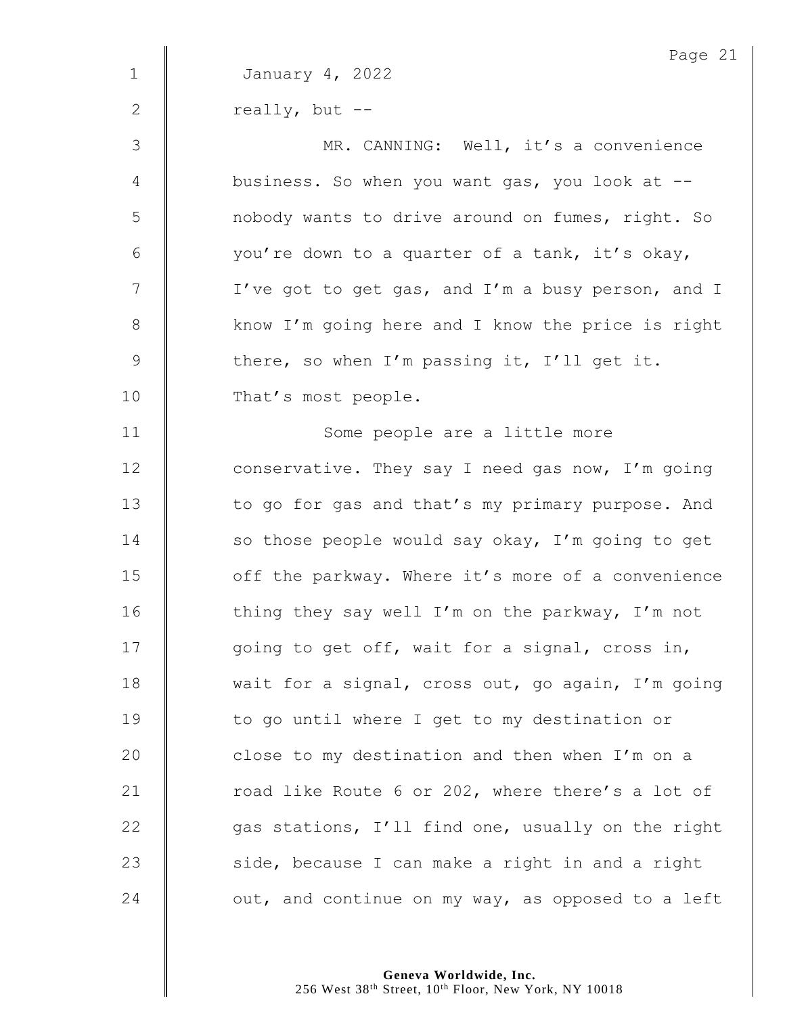|              | Page 21                                           |
|--------------|---------------------------------------------------|
| $\mathbf 1$  | January 4, 2022                                   |
| $\mathbf{2}$ | really, but --                                    |
| 3            | MR. CANNING: Well, it's a convenience             |
| 4            | business. So when you want gas, you look at --    |
| 5            | nobody wants to drive around on fumes, right. So  |
| 6            | you're down to a quarter of a tank, it's okay,    |
| 7            | I've got to get gas, and I'm a busy person, and I |
| $8\,$        | know I'm going here and I know the price is right |
| 9            | there, so when I'm passing it, I'll get it.       |
| 10           | That's most people.                               |
| 11           | Some people are a little more                     |
| 12           | conservative. They say I need gas now, I'm going  |
| 13           | to go for gas and that's my primary purpose. And  |
| 14           | so those people would say okay, I'm going to get  |
| 15           | off the parkway. Where it's more of a convenience |
| 16           | thing they say well I'm on the parkway, I'm not   |
| 17           | going to get off, wait for a signal, cross in,    |
| 18           | wait for a signal, cross out, go again, I'm going |
| 19           | to go until where I get to my destination or      |
| 20           | close to my destination and then when I'm on a    |
| 21           | road like Route 6 or 202, where there's a lot of  |
| 22           | gas stations, I'll find one, usually on the right |
| 23           | side, because I can make a right in and a right   |
| 24           | out, and continue on my way, as opposed to a left |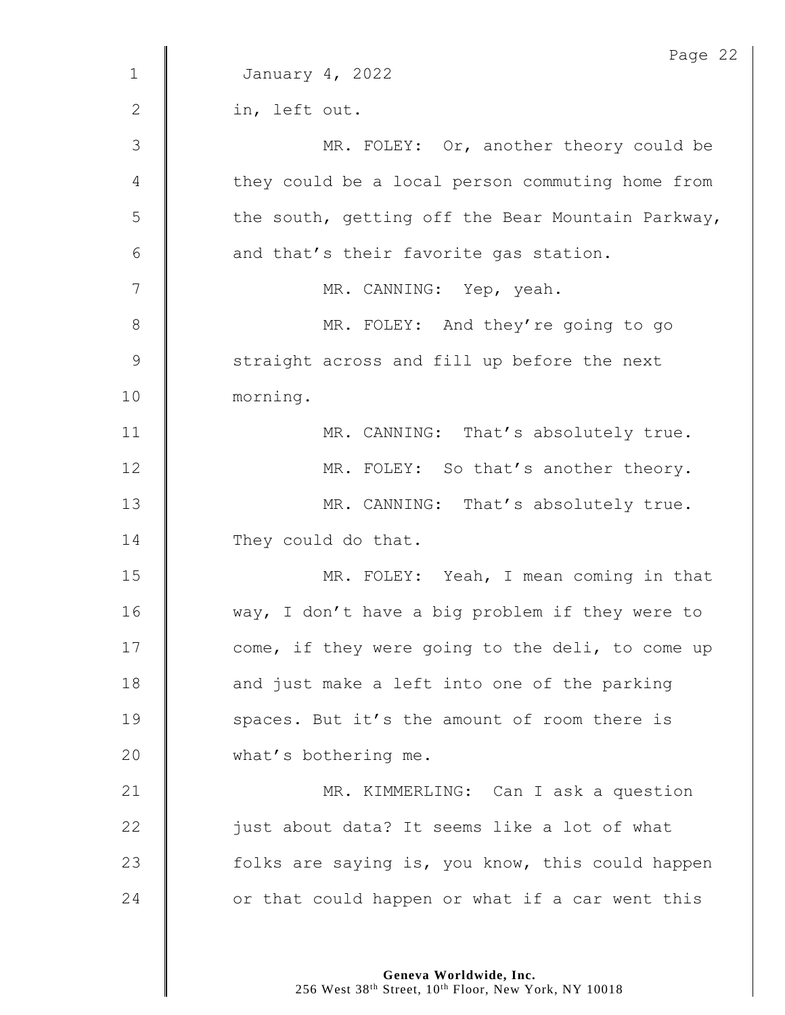|                | Page 22                                           |
|----------------|---------------------------------------------------|
| $\mathbf{1}$   | January 4, 2022                                   |
| $\mathbf{2}$   | in, left out.                                     |
| $\mathfrak{Z}$ | MR. FOLEY: Or, another theory could be            |
| 4              | they could be a local person commuting home from  |
| 5              | the south, getting off the Bear Mountain Parkway, |
| 6              | and that's their favorite gas station.            |
| 7              | MR. CANNING: Yep, yeah.                           |
| $\,8\,$        | MR. FOLEY: And they're going to go                |
| $\mathsf 9$    | straight across and fill up before the next       |
| 10             | morning.                                          |
| 11             | MR. CANNING: That's absolutely true.              |
| 12             | MR. FOLEY: So that's another theory.              |
| 13             | MR. CANNING: That's absolutely true.              |
| 14             | They could do that.                               |
| 15             | MR. FOLEY: Yeah, I mean coming in that            |
| 16             | way, I don't have a big problem if they were to   |
| 17             | come, if they were going to the deli, to come up  |
| 18             | and just make a left into one of the parking      |
| 19             | spaces. But it's the amount of room there is      |
| 20             | what's bothering me.                              |
| 21             | MR. KIMMERLING: Can I ask a question              |
| 22             | just about data? It seems like a lot of what      |
| 23             | folks are saying is, you know, this could happen  |
| 24             | or that could happen or what if a car went this   |
|                |                                                   |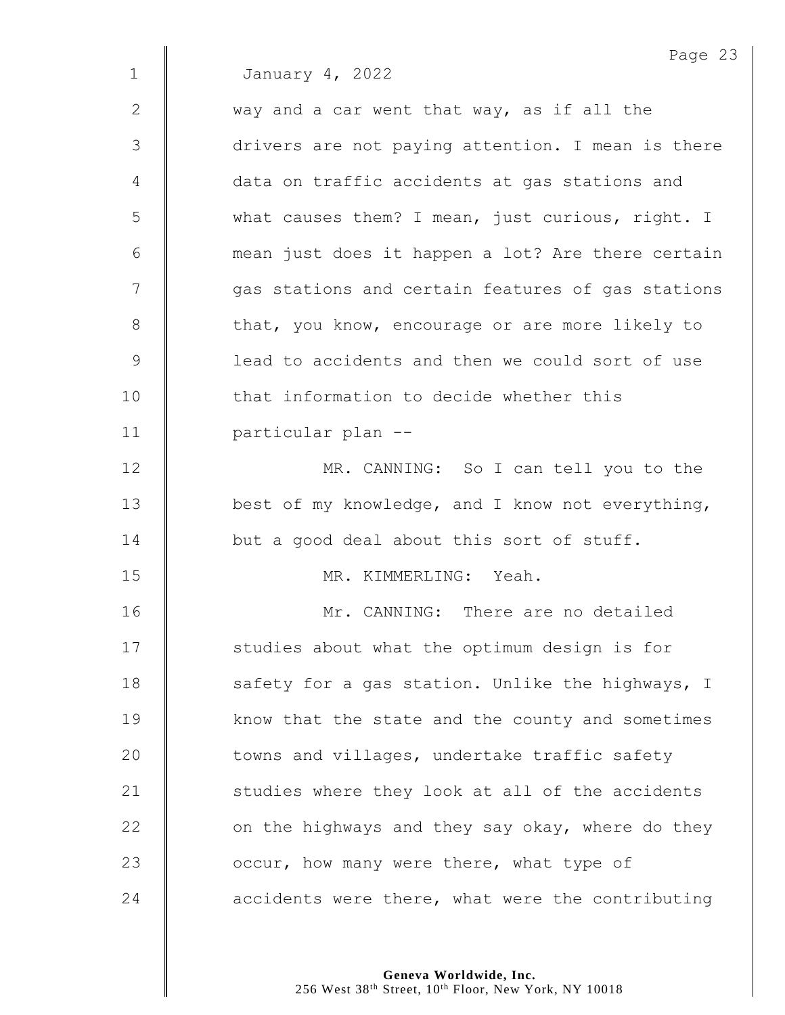|             | Page 23                                           |
|-------------|---------------------------------------------------|
| $\mathbf 1$ | January 4, 2022                                   |
| 2           | way and a car went that way, as if all the        |
| 3           | drivers are not paying attention. I mean is there |
| 4           | data on traffic accidents at gas stations and     |
| 5           | what causes them? I mean, just curious, right. I  |
| 6           | mean just does it happen a lot? Are there certain |
| 7           | gas stations and certain features of gas stations |
| 8           | that, you know, encourage or are more likely to   |
| $\mathsf 9$ | lead to accidents and then we could sort of use   |
| 10          | that information to decide whether this           |
| 11          | particular plan --                                |
| 12          | MR. CANNING: So I can tell you to the             |
| 13          | best of my knowledge, and I know not everything,  |
| 14          | but a good deal about this sort of stuff.         |
| 15          | MR. KIMMERLING: Yeah.                             |
| 16          | Mr. CANNING: There are no detailed                |
| 17          | studies about what the optimum design is for      |
| 18          | safety for a gas station. Unlike the highways, I  |
| 19          | know that the state and the county and sometimes  |
| 20          | towns and villages, undertake traffic safety      |
| 21          | studies where they look at all of the accidents   |
| 22          | on the highways and they say okay, where do they  |
| 23          | occur, how many were there, what type of          |
| 24          | accidents were there, what were the contributing  |
|             |                                                   |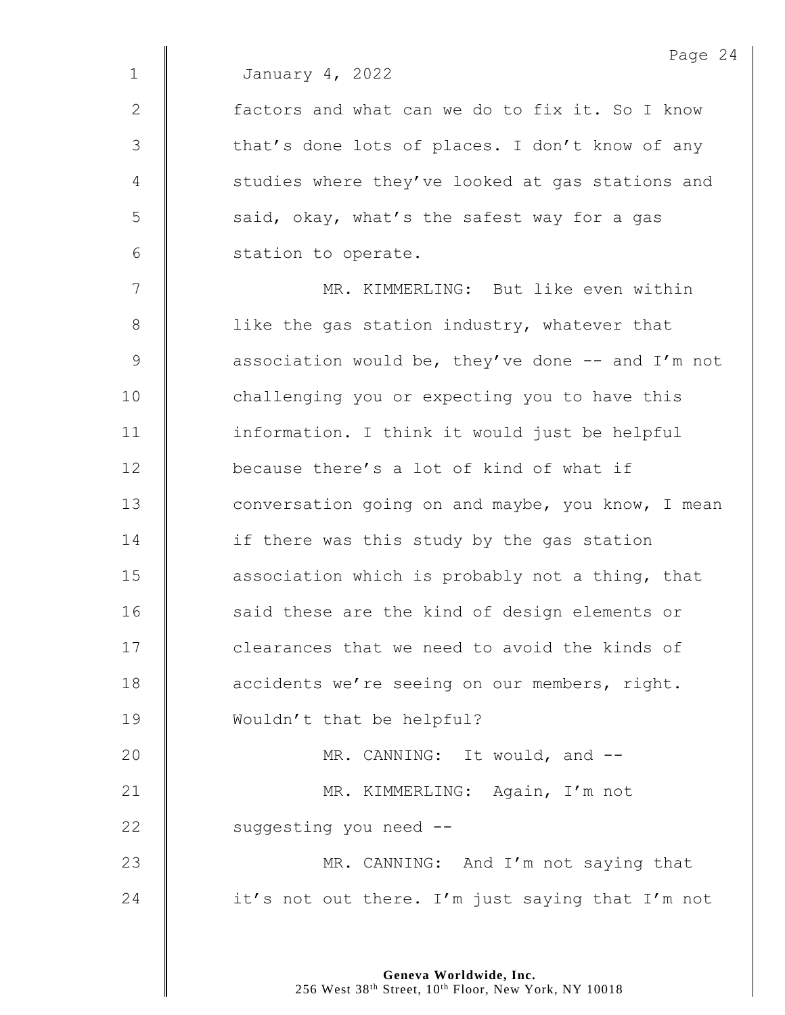2  $\parallel$  factors and what can we do to fix it. So I know 3 | that's done lots of places. I don't know of any 4 | studies where they've looked at gas stations and 5 said, okay, what's the safest way for a gas 6 | station to operate.

7 || MR. KIMMERLING: But like even within 8 | like the gas station industry, whatever that 9 **association would be, they've done -- and I'm not** 10 | challenging you or expecting you to have this 11 | information. I think it would just be helpful 12 **because there's a lot of kind of what if** 13 **dege** conversation going on and maybe, you know, I mean 14 **if there was this study by the gas station** 15 **association which is probably not a thing, that** 16 | said these are the kind of design elements or 17 **I** clearances that we need to avoid the kinds of 18 **d** accidents we're seeing on our members, right. 19 Wouldn't that be helpful? 20 **MR. CANNING:** It would, and --21 | MR. KIMMERLING: Again, I'm not 22 | suggesting you need --23 **MR.** CANNING: And I'm not saying that 24  $\parallel$  it's not out there. I'm just saying that I'm not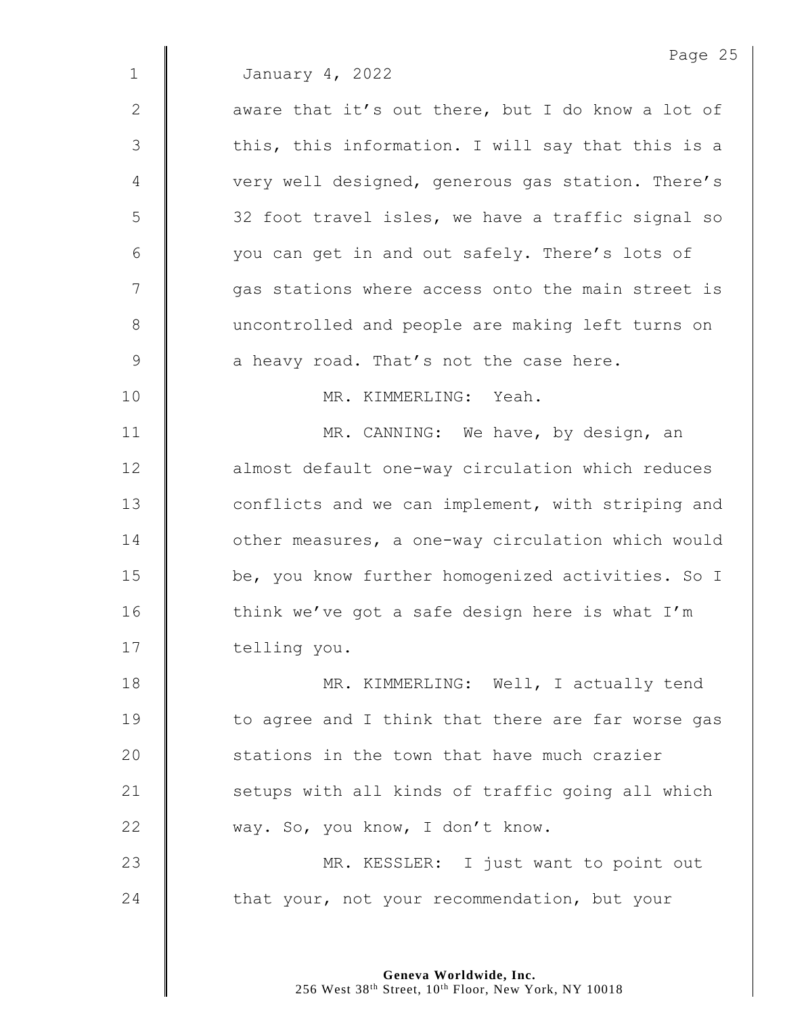Page 25 1 January 4, 2022  $2 \parallel$  aware that it's out there, but I do know a lot of 3 | this, this information. I will say that this is a 4 | very well designed, generous gas station. There's 5 | 32 foot travel isles, we have a traffic signal so 6 you can get in and out safely. There's lots of 7 | qas stations where access onto the main street is 8 uncontrolled and people are making left turns on  $9 \parallel$  a heavy road. That's not the case here. 10 MR. KIMMERLING: Yeah. 11 | MR. CANNING: We have, by design, an 12 | almost default one-way circulation which reduces 13 **deger** conflicts and we can implement, with striping and 14 | other measures, a one-way circulation which would 15 **be,** you know further homogenized activities. So I 16  $\parallel$  think we've got a safe design here is what I'm 17 | telling you. 18 **MR. KIMMERLING:** Well, I actually tend 19 | to agree and I think that there are far worse gas 20 **Stations in the town that have much crazier** 21 | setups with all kinds of traffic going all which 22 way. So, you know, I don't know. 23 | MR. KESSLER: I just want to point out 24  $\parallel$  that your, not your recommendation, but your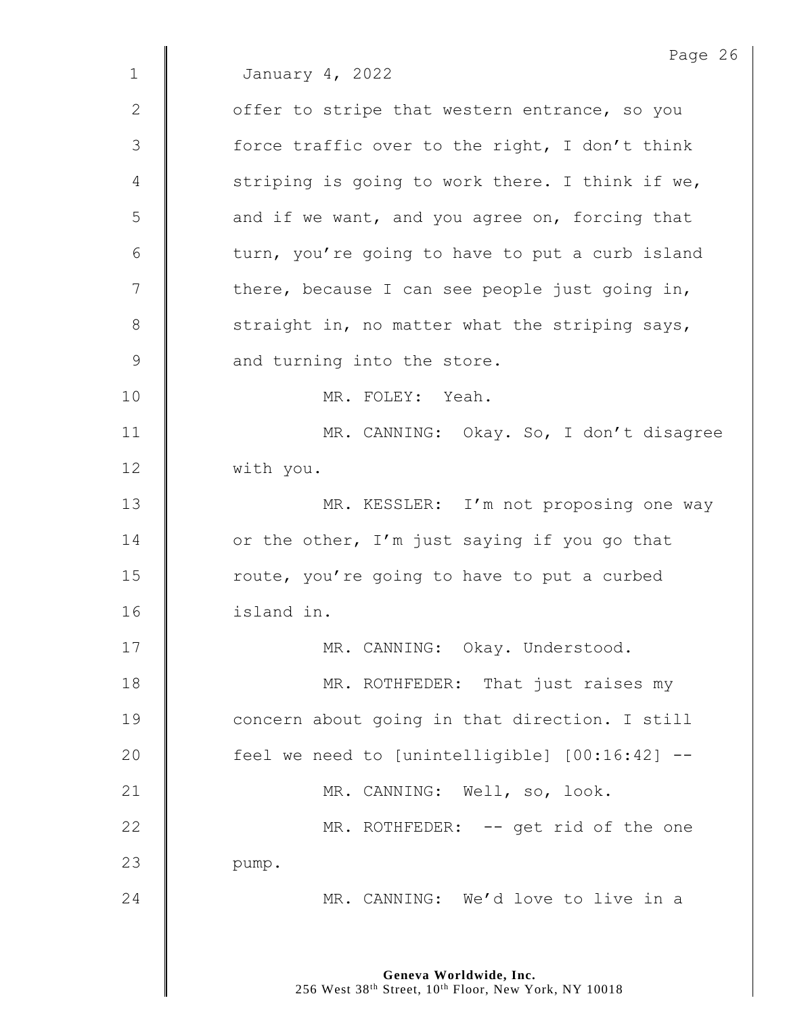Page 26 1 January 4, 2022 2  $\parallel$  offer to stripe that western entrance, so you 3 | force traffic over to the right, I don't think 4 Striping is going to work there. I think if we, 5 **decive** and if we want, and you agree on, forcing that  $6 \parallel$  turn, you're going to have to put a curb island  $7 \parallel$  there, because I can see people just going in,  $8$  | straight in, no matter what the striping says, 9 **A** and turning into the store. 10 MR. FOLEY: Yeah. 11 | MR. CANNING: Okay. So, I don't disagree 12 | with you. 13 | MR. KESSLER: I'm not proposing one way 14  $\parallel$  or the other, I'm just saying if you go that 15 | route, you're going to have to put a curbed 16 island in. 17 | MR. CANNING: Okay. Understood. 18 **MR. ROTHFEDER:** That just raises my 19 **concern** about going in that direction. I still 20 | feel we need to [unintelligible] [00:16:42] --21 | MR. CANNING: Well, so, look. 22 | MR. ROTHFEDER: -- get rid of the one 23 | pump. 24 **MR. CANNING:** We'd love to live in a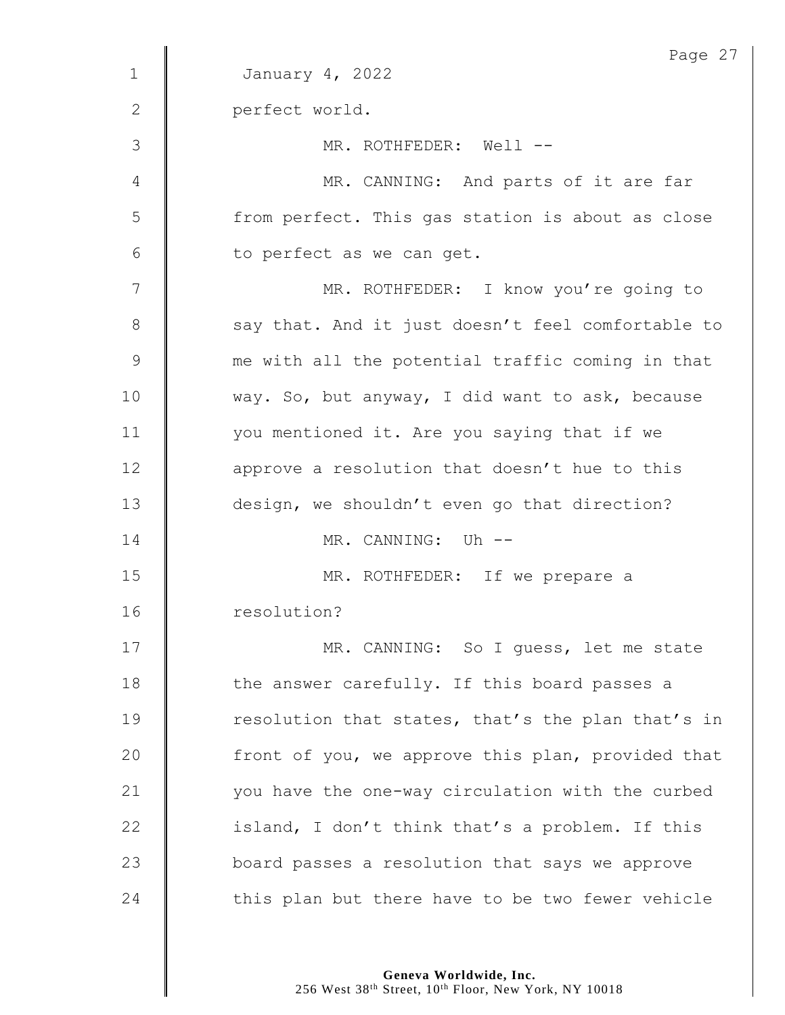|               | Page 27                                           |
|---------------|---------------------------------------------------|
| $\mathbf{1}$  | January 4, 2022                                   |
| $\mathbf{2}$  | perfect world.                                    |
| 3             | MR. ROTHFEDER: Well --                            |
| 4             | MR. CANNING: And parts of it are far              |
| 5             | from perfect. This gas station is about as close  |
| 6             | to perfect as we can get.                         |
| 7             | MR. ROTHFEDER: I know you're going to             |
| 8             | say that. And it just doesn't feel comfortable to |
| $\mathcal{G}$ | me with all the potential traffic coming in that  |
| 10            | way. So, but anyway, I did want to ask, because   |
| 11            | you mentioned it. Are you saying that if we       |
| 12            | approve a resolution that doesn't hue to this     |
| 13            | design, we shouldn't even go that direction?      |
| 14            | MR. CANNING: Uh --                                |
| 15            | MR. ROTHFEDER: If we prepare a                    |
| 16            | resolution?                                       |
| 17            | MR. CANNING: So I quess, let me state             |
| 18            | the answer carefully. If this board passes a      |
| 19            | resolution that states, that's the plan that's in |
| 20            | front of you, we approve this plan, provided that |
| 21            | you have the one-way circulation with the curbed  |
| 22            | island, I don't think that's a problem. If this   |
| 23            | board passes a resolution that says we approve    |
| 24            | this plan but there have to be two fewer vehicle  |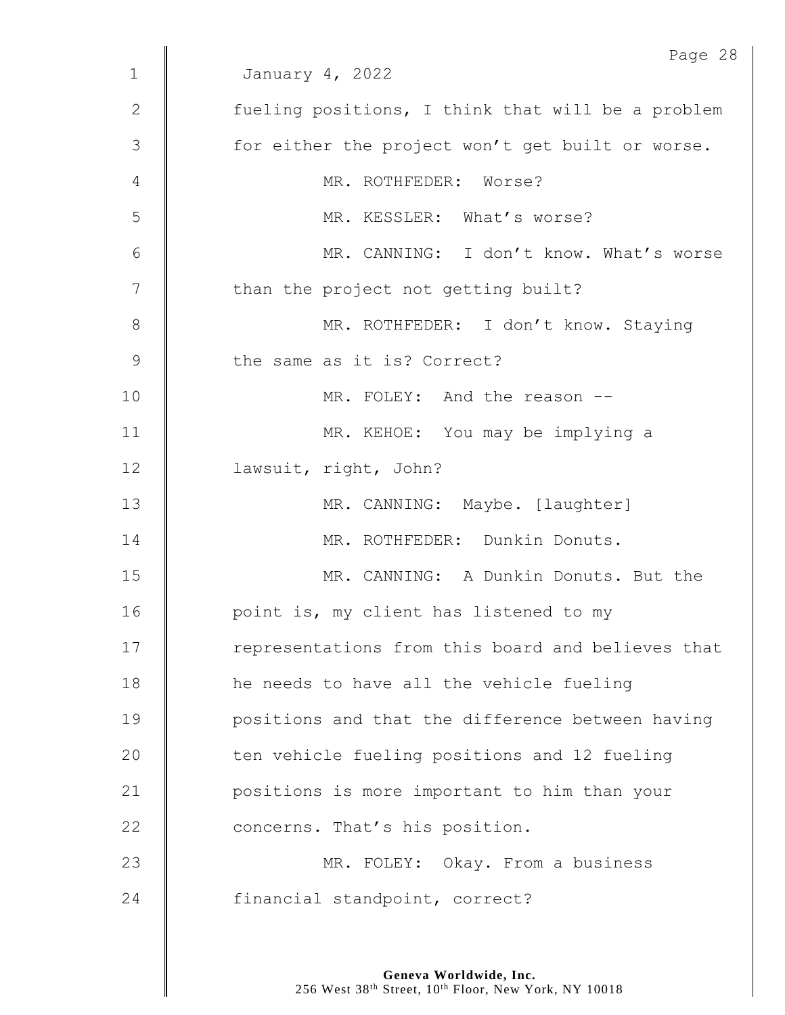|                | Page 28                                           |
|----------------|---------------------------------------------------|
| $\mathbf 1$    | January 4, 2022                                   |
| 2              | fueling positions, I think that will be a problem |
| 3              | for either the project won't get built or worse.  |
| 4              | MR. ROTHFEDER: Worse?                             |
| 5              | MR. KESSLER: What's worse?                        |
| 6              | MR. CANNING: I don't know. What's worse           |
| $\overline{7}$ | than the project not getting built?               |
| $\,8\,$        | MR. ROTHFEDER: I don't know. Staying              |
| $\mathcal{G}$  | the same as it is? Correct?                       |
| 10             | MR. FOLEY: And the reason --                      |
| 11             | MR. KEHOE: You may be implying a                  |
| 12             | lawsuit, right, John?                             |
| 13             | MR. CANNING: Maybe. [laughter]                    |
| 14             | MR. ROTHFEDER: Dunkin Donuts.                     |
| 15             | MR. CANNING: A Dunkin Donuts. But the             |
| 16             | point is, my client has listened to my            |
| 17             | representations from this board and believes that |
| 18             | he needs to have all the vehicle fueling          |
| 19             | positions and that the difference between having  |
| 20             | ten vehicle fueling positions and 12 fueling      |
| 21             | positions is more important to him than your      |
| 22             | concerns. That's his position.                    |
| 23             | MR. FOLEY: Okay. From a business                  |
| 24             | financial standpoint, correct?                    |
|                |                                                   |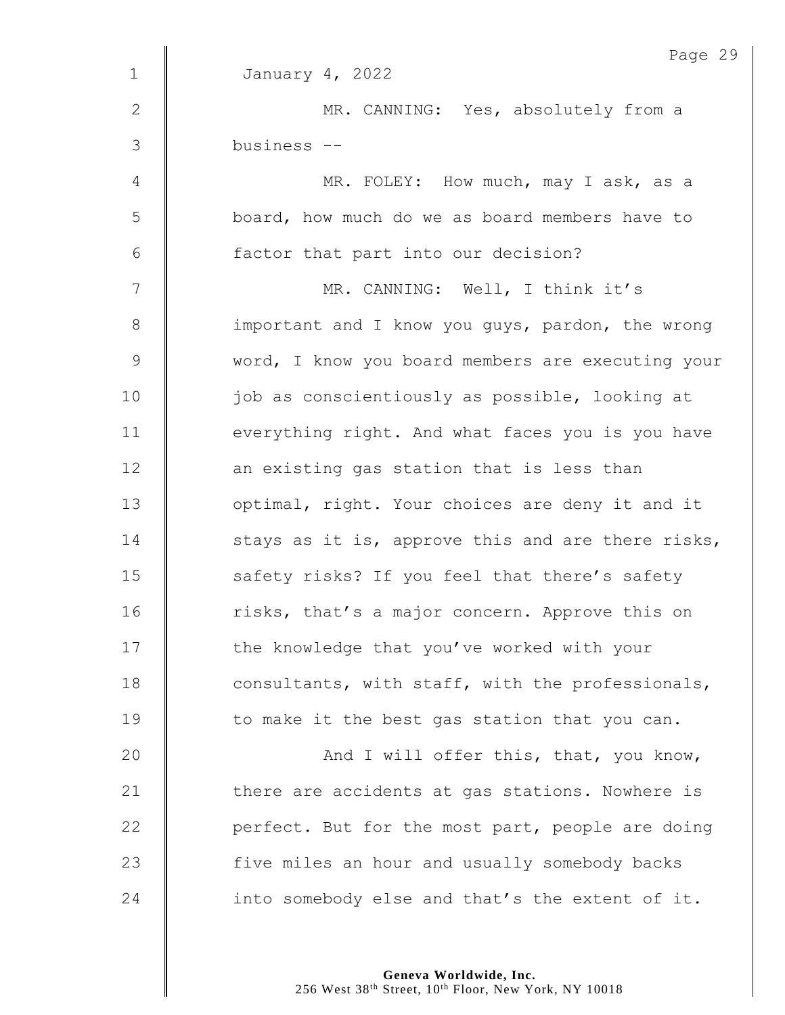|                | Page 29                                           |
|----------------|---------------------------------------------------|
| $\mathbf 1$    | January 4, 2022                                   |
| $\mathbf{2}$   | MR. CANNING: Yes, absolutely from a               |
| 3              | business --                                       |
| $\overline{4}$ | MR. FOLEY: How much, may I ask, as a              |
| 5              | board, how much do we as board members have to    |
| 6              | factor that part into our decision?               |
| 7              | MR. CANNING: Well, I think it's                   |
| $8\,$          | important and I know you guys, pardon, the wrong  |
| $\mathsf 9$    | word, I know you board members are executing your |
| 10             | job as conscientiously as possible, looking at    |
| 11             | everything right. And what faces you is you have  |
| 12             | an existing gas station that is less than         |
| 13             | optimal, right. Your choices are deny it and it   |
| 14             | stays as it is, approve this and are there risks, |
| 15             | safety risks? If you feel that there's safety     |
| 16             | risks, that's a major concern. Approve this on    |
| 17             | the knowledge that you've worked with your        |
| 18             | consultants, with staff, with the professionals,  |
| 19             | to make it the best gas station that you can.     |
| 20             | And I will offer this, that, you know,            |
| 21             | there are accidents at gas stations. Nowhere is   |
| 22             | perfect. But for the most part, people are doing  |
| 23             | five miles an hour and usually somebody backs     |
| 24             | into somebody else and that's the extent of it.   |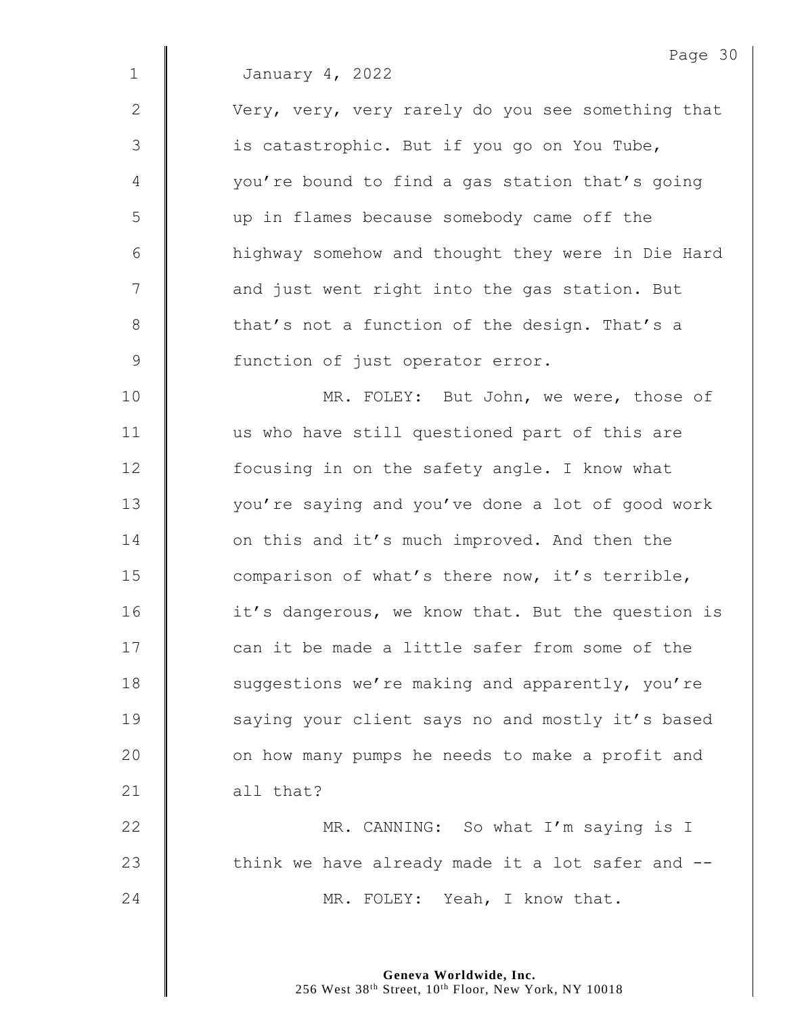Page 30

| $\mathbf{2}$   | Very, very, very rarely do you see something that |
|----------------|---------------------------------------------------|
| 3              | is catastrophic. But if you go on You Tube,       |
| $\overline{4}$ | you're bound to find a gas station that's going   |
| 5              | up in flames because somebody came off the        |
| 6              | highway somehow and thought they were in Die Hard |
| 7              | and just went right into the gas station. But     |
| $\,8\,$        | that's not a function of the design. That's a     |
| $\mathcal{G}$  | function of just operator error.                  |
| 10             | MR. FOLEY: But John, we were, those of            |
| 11             | us who have still questioned part of this are     |
| 12             | focusing in on the safety angle. I know what      |
| 13             | you're saying and you've done a lot of good work  |
| 14             | on this and it's much improved. And then the      |
| 15             | comparison of what's there now, it's terrible,    |
| 16             | it's dangerous, we know that. But the question is |
| 17             | can it be made a little safer from some of the    |
| 18             | suggestions we're making and apparently, you're   |
| 19             | saying your client says no and mostly it's based  |
| 20             | on how many pumps he needs to make a profit and   |
| 21             | all that?                                         |
| 22             | MR. CANNING: So what I'm saying is I              |
| 23             | think we have already made it a lot safer and --  |
| 24             | MR. FOLEY: Yeah, I know that.                     |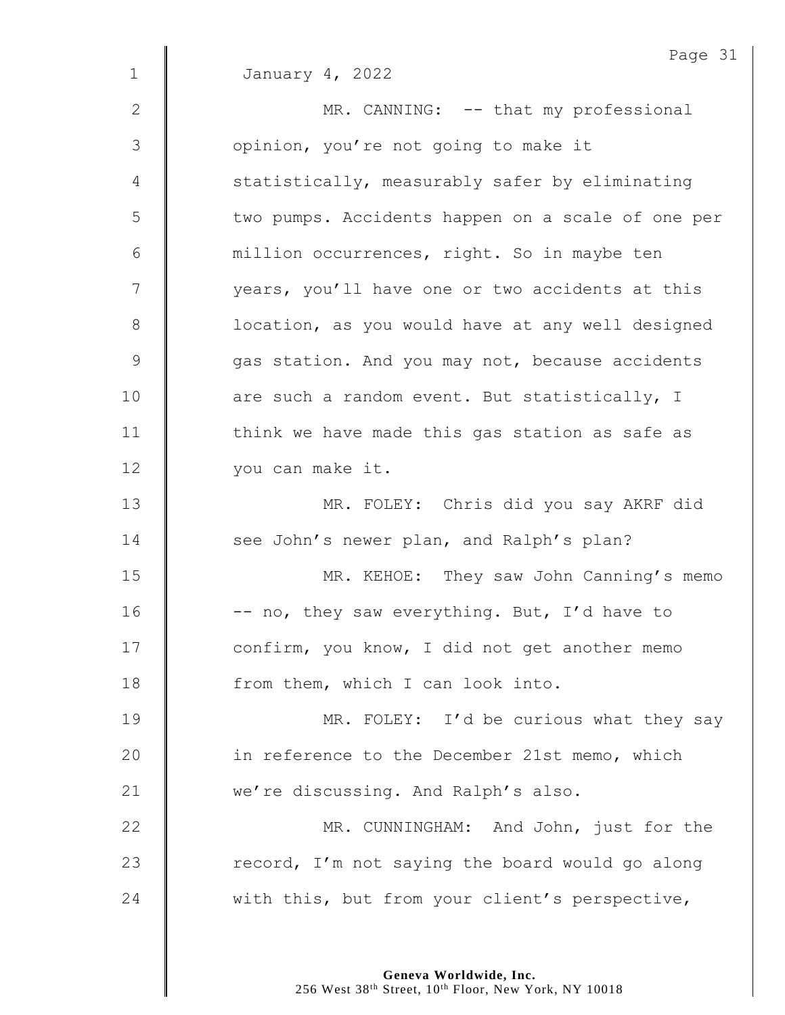|               | Page 31                                           |
|---------------|---------------------------------------------------|
| $\mathbf{1}$  | January 4, 2022                                   |
| $\mathbf{2}$  | MR. CANNING: -- that my professional              |
| 3             | opinion, you're not going to make it              |
| 4             | statistically, measurably safer by eliminating    |
| 5             | two pumps. Accidents happen on a scale of one per |
| 6             | million occurrences, right. So in maybe ten       |
| 7             | years, you'll have one or two accidents at this   |
| $\,8\,$       | location, as you would have at any well designed  |
| $\mathcal{G}$ | gas station. And you may not, because accidents   |
| 10            | are such a random event. But statistically, I     |
| 11            | think we have made this gas station as safe as    |
| 12            | you can make it.                                  |
| 13            | MR. FOLEY: Chris did you say AKRF did             |
| 14            | see John's newer plan, and Ralph's plan?          |
| 15            | MR. KEHOE: They saw John Canning's memo           |
| 16            | -- no, they saw everything. But, I'd have to      |
| 17            | confirm, you know, I did not get another memo     |
| 18            | from them, which I can look into.                 |
| 19            | MR. FOLEY: I'd be curious what they say           |
| 20            | in reference to the December 21st memo, which     |
| 21            | we're discussing. And Ralph's also.               |
| 22            | MR. CUNNINGHAM: And John, just for the            |
| 23            | record, I'm not saying the board would go along   |
| 24            | with this, but from your client's perspective,    |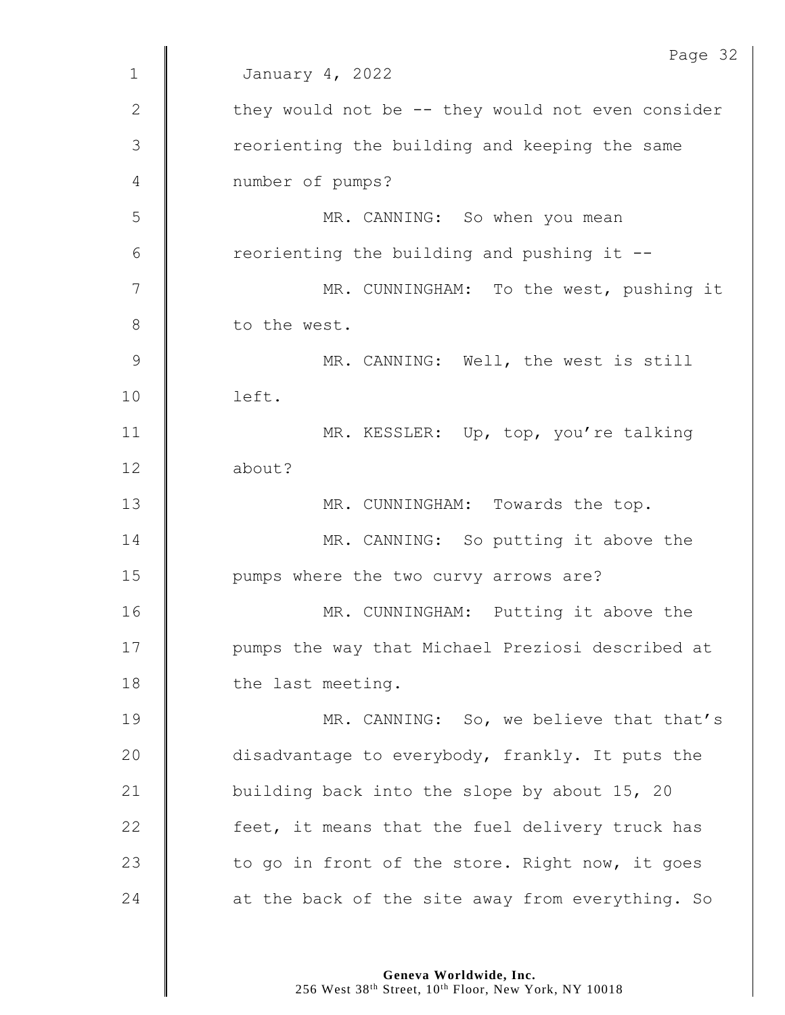|              | Page 32                                           |
|--------------|---------------------------------------------------|
| $\mathbf 1$  | January 4, 2022                                   |
| $\mathbf{2}$ | they would not be -- they would not even consider |
| 3            | reorienting the building and keeping the same     |
| 4            | number of pumps?                                  |
| 5            | MR. CANNING: So when you mean                     |
| 6            | reorienting the building and pushing it --        |
| 7            | MR. CUNNINGHAM: To the west, pushing it           |
| 8            | to the west.                                      |
| 9            | MR. CANNING: Well, the west is still              |
| 10           | left.                                             |
| 11           | MR. KESSLER: Up, top, you're talking              |
| 12           | about?                                            |
| 13           | MR. CUNNINGHAM: Towards the top.                  |
| 14           | MR. CANNING: So putting it above the              |
| 15           | pumps where the two curvy arrows are?             |
| 16           | MR. CUNNINGHAM: Putting it above the              |
| 17           | pumps the way that Michael Preziosi described at  |
| 18           | the last meeting.                                 |
| 19           | MR. CANNING: So, we believe that that's           |
| 20           | disadvantage to everybody, frankly. It puts the   |
| 21           | building back into the slope by about 15, 20      |
| 22           | feet, it means that the fuel delivery truck has   |
| 23           | to go in front of the store. Right now, it goes   |
| 24           | at the back of the site away from everything. So  |
|              |                                                   |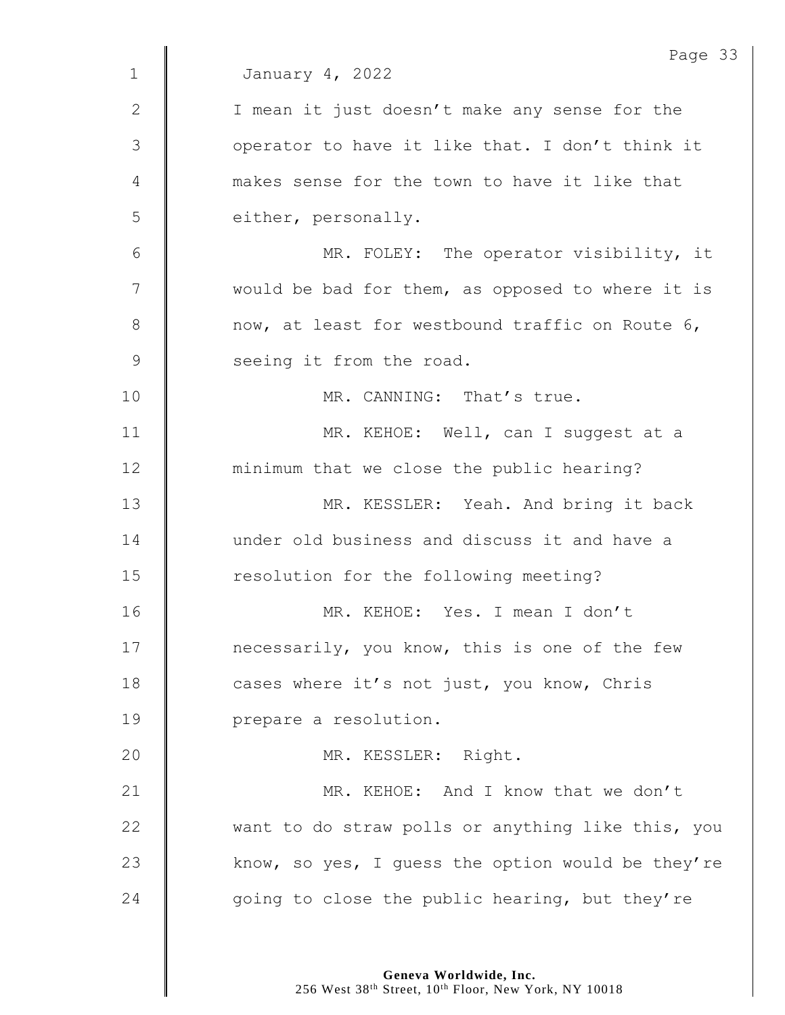|             | Page 33                                           |
|-------------|---------------------------------------------------|
| $\mathbf 1$ | January 4, 2022                                   |
| 2           | I mean it just doesn't make any sense for the     |
| 3           | operator to have it like that. I don't think it   |
| 4           | makes sense for the town to have it like that     |
| 5           | either, personally.                               |
| 6           | MR. FOLEY: The operator visibility, it            |
| 7           | would be bad for them, as opposed to where it is  |
| $8\,$       | now, at least for westbound traffic on Route 6,   |
| 9           | seeing it from the road.                          |
| 10          | MR. CANNING: That's true.                         |
| 11          | MR. KEHOE: Well, can I suggest at a               |
| 12          | minimum that we close the public hearing?         |
| 13          | MR. KESSLER: Yeah. And bring it back              |
| 14          | under old business and discuss it and have a      |
| 15          | resolution for the following meeting?             |
| 16          | MR. KEHOE: Yes. I mean I don't                    |
| 17          | necessarily, you know, this is one of the few     |
| 18          | cases where it's not just, you know, Chris        |
| 19          | prepare a resolution.                             |
| 20          | MR. KESSLER: Right.                               |
| 21          | MR. KEHOE: And I know that we don't               |
| 22          | want to do straw polls or anything like this, you |
| 23          | know, so yes, I guess the option would be they're |
| 24          | going to close the public hearing, but they're    |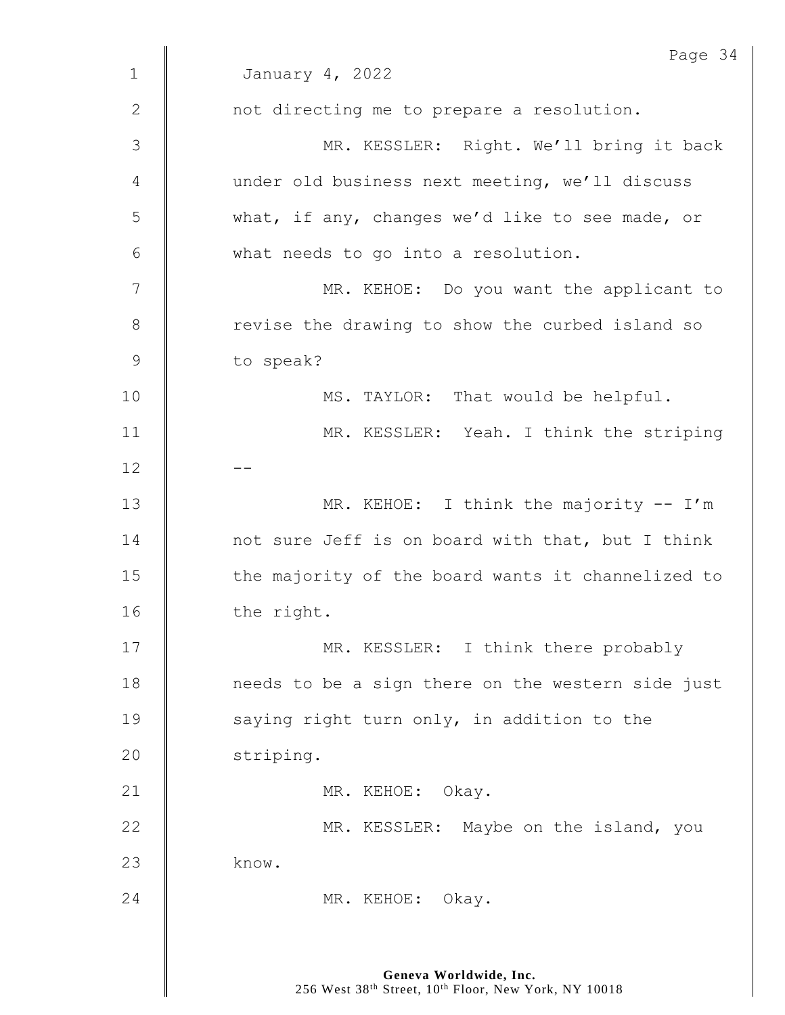| $\mathbf{1}$  | Page 34<br>January 4, 2022                        |
|---------------|---------------------------------------------------|
|               |                                                   |
| $\mathbf{2}$  | not directing me to prepare a resolution.         |
| 3             | MR. KESSLER: Right. We'll bring it back           |
| 4             | under old business next meeting, we'll discuss    |
| 5             | what, if any, changes we'd like to see made, or   |
| 6             | what needs to go into a resolution.               |
| 7             | MR. KEHOE: Do you want the applicant to           |
| $8\,$         | revise the drawing to show the curbed island so   |
| $\mathcal{G}$ | to speak?                                         |
| 10            | MS. TAYLOR: That would be helpful.                |
| 11            | MR. KESSLER: Yeah. I think the striping           |
| 12            |                                                   |
| 13            | MR. KEHOE: I think the majority -- I'm            |
| 14            | not sure Jeff is on board with that, but I think  |
| 15            | the majority of the board wants it channelized to |
| 16            | the right.                                        |
| 17            | MR. KESSLER: I think there probably               |
| 18            | needs to be a sign there on the western side just |
| 19            | saying right turn only, in addition to the        |
| 20            | striping.                                         |
| 21            | MR. KEHOE: Okay.                                  |
| 22            | MR. KESSLER: Maybe on the island, you             |
| 23            | know.                                             |
| 24            | MR. KEHOE: Okay.                                  |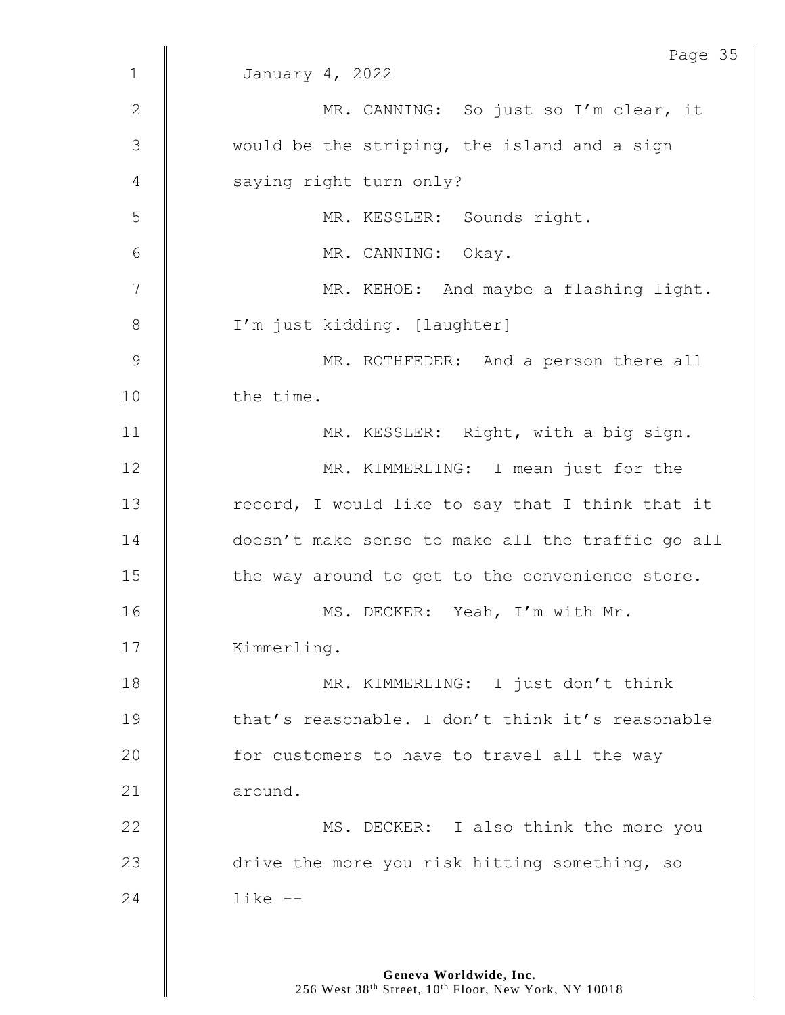|                | Page 35                                           |
|----------------|---------------------------------------------------|
| $\mathbf{1}$   | January 4, 2022                                   |
| $\mathbf{2}$   | MR. CANNING: So just so I'm clear, it             |
| 3              | would be the striping, the island and a sign      |
| 4              | saying right turn only?                           |
| 5              | MR. KESSLER: Sounds right.                        |
| $6\,$          | MR. CANNING: Okay.                                |
| $\overline{7}$ | MR. KEHOE: And maybe a flashing light.            |
| $8\,$          | I'm just kidding. [laughter]                      |
| $\mathcal{G}$  | MR. ROTHFEDER: And a person there all             |
| 10             | the time.                                         |
| 11             | MR. KESSLER: Right, with a big sign.              |
| 12             | MR. KIMMERLING: I mean just for the               |
| 13             | record, I would like to say that I think that it  |
| 14             | doesn't make sense to make all the traffic go all |
| 15             | the way around to get to the convenience store.   |
| 16             | MS. DECKER: Yeah, I'm with Mr.                    |
| 17             | Kimmerling.                                       |
| 18             | MR. KIMMERLING: I just don't think                |
| 19             | that's reasonable. I don't think it's reasonable  |
| 20             | for customers to have to travel all the way       |
| 21             | around.                                           |
| 22             | MS. DECKER: I also think the more you             |
| 23             | drive the more you risk hitting something, so     |
| 24             | $like$ $-$                                        |
|                |                                                   |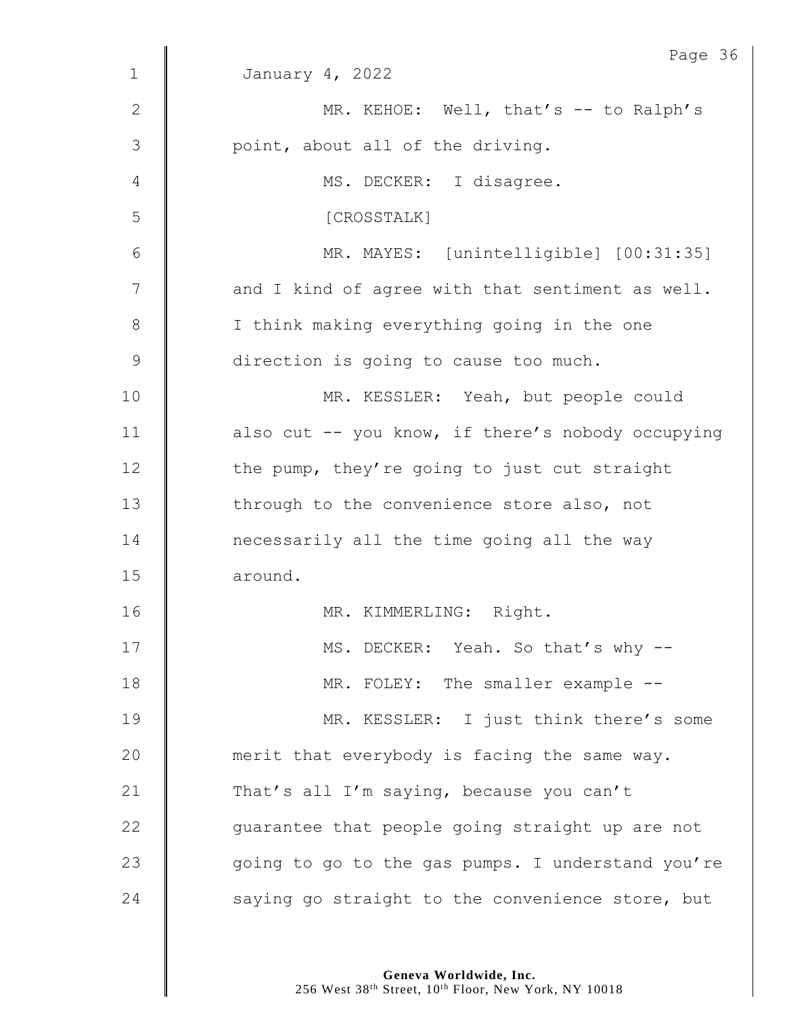|             | Page 36                                           |
|-------------|---------------------------------------------------|
| $\mathbf 1$ | January 4, 2022                                   |
| 2           | MR. KEHOE: Well, that's -- to Ralph's             |
| 3           | point, about all of the driving.                  |
| 4           | MS. DECKER: I disagree.                           |
| 5           | [CROSSTALK]                                       |
| 6           | MR. MAYES: [unintelligible] [00:31:35]            |
| 7           | and I kind of agree with that sentiment as well.  |
| 8           | I think making everything going in the one        |
| $\mathsf 9$ | direction is going to cause too much.             |
| 10          | MR. KESSLER: Yeah, but people could               |
| 11          | also cut -- you know, if there's nobody occupying |
| 12          | the pump, they're going to just cut straight      |
| 13          | through to the convenience store also, not        |
| 14          | necessarily all the time going all the way        |
| 15          | around.                                           |
| 16          | MR. KIMMERLING: Right.                            |
| 17          | MS. DECKER: Yeah. So that's why --                |
| 18          | MR. FOLEY: The smaller example --                 |
| 19          | MR. KESSLER: I just think there's some            |
| 20          | merit that everybody is facing the same way.      |
| 21          | That's all I'm saying, because you can't          |
| 22          | guarantee that people going straight up are not   |
| 23          | going to go to the gas pumps. I understand you're |
| 24          | saying go straight to the convenience store, but  |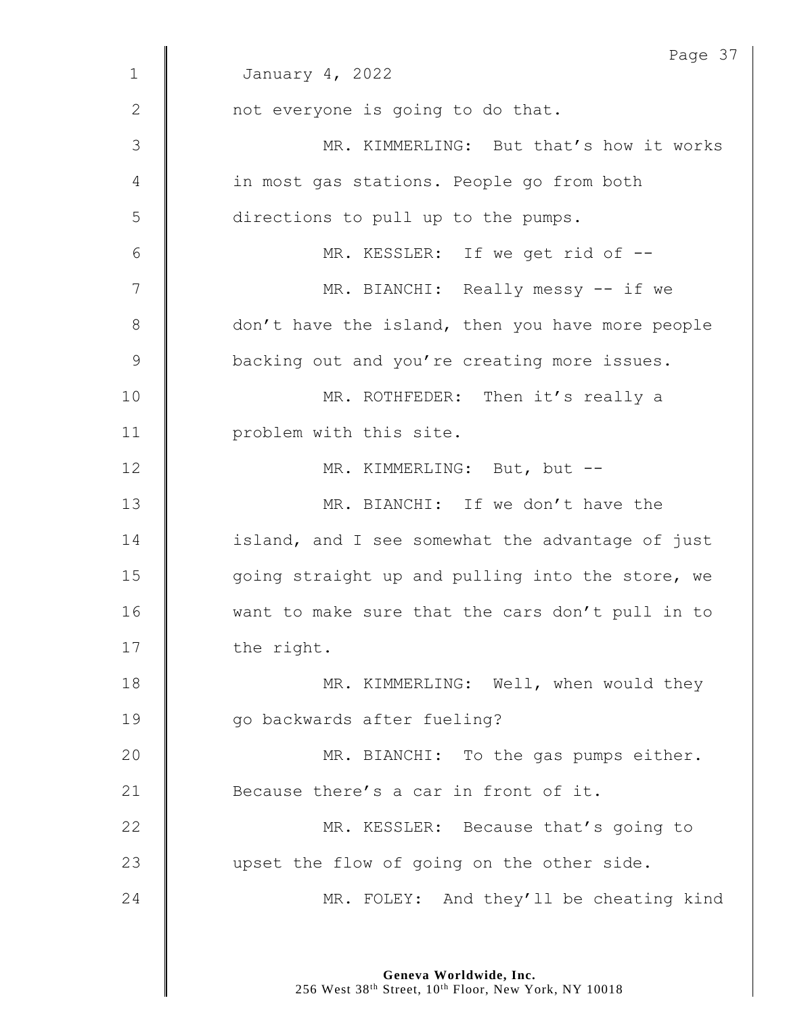| January 4, 2022                                  |
|--------------------------------------------------|
|                                                  |
| not everyone is going to do that.                |
| MR. KIMMERLING: But that's how it works          |
| in most gas stations. People go from both        |
| directions to pull up to the pumps.              |
| MR. KESSLER: If we get rid of --                 |
| MR. BIANCHI: Really messy -- if we               |
| don't have the island, then you have more people |
| backing out and you're creating more issues.     |
| MR. ROTHFEDER: Then it's really a                |
| problem with this site.                          |
| MR. KIMMERLING: But, but --                      |
| MR. BIANCHI: If we don't have the                |
| island, and I see somewhat the advantage of just |
| going straight up and pulling into the store, we |
| want to make sure that the cars don't pull in to |
| the right.                                       |
| MR. KIMMERLING: Well, when would they            |
| go backwards after fueling?                      |
| MR. BIANCHI: To the gas pumps either.            |
| Because there's a car in front of it.            |
| MR. KESSLER: Because that's going to             |
| upset the flow of going on the other side.       |
| MR. FOLEY: And they'll be cheating kind          |
|                                                  |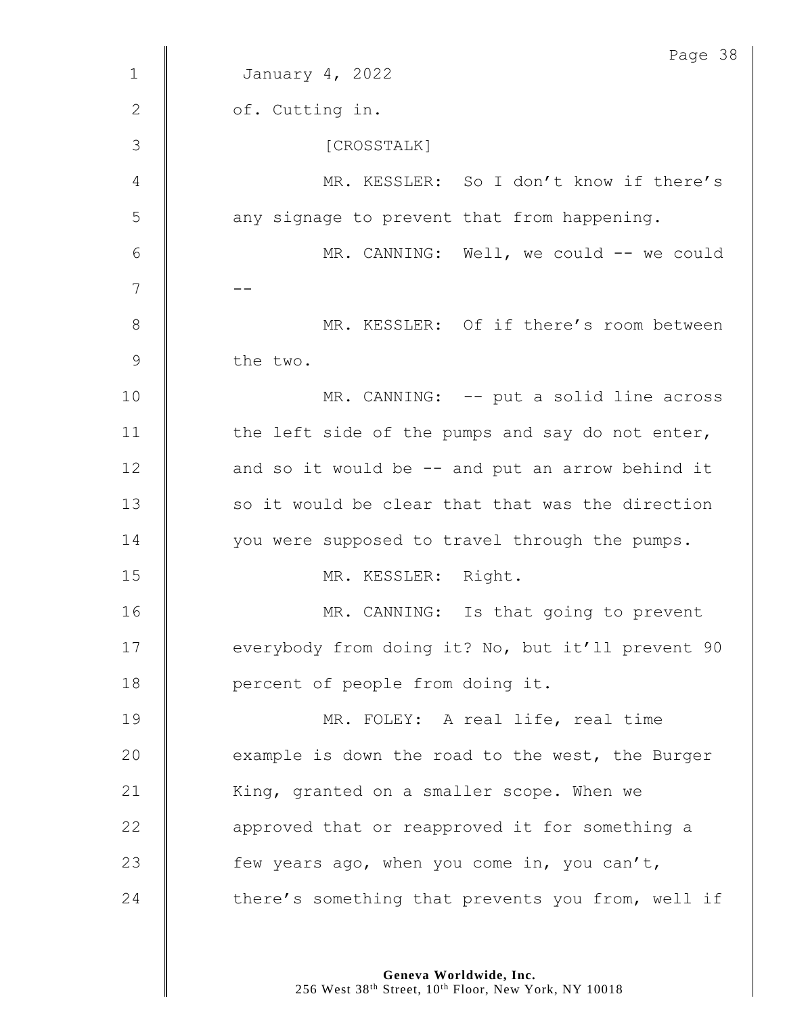|                | Page 38                                           |
|----------------|---------------------------------------------------|
| $\mathbf 1$    | January 4, 2022                                   |
| $\mathbf{2}$   | of. Cutting in.                                   |
| 3              | [CROSSTALK]                                       |
| 4              | MR. KESSLER: So I don't know if there's           |
| 5              | any signage to prevent that from happening.       |
| 6              | MR. CANNING: Well, we could -- we could           |
| $\overline{7}$ |                                                   |
| $\,8\,$        | MR. KESSLER: Of if there's room between           |
| 9              | the two.                                          |
| 10             | MR. CANNING: -- put a solid line across           |
| 11             | the left side of the pumps and say do not enter,  |
| 12             | and so it would be -- and put an arrow behind it  |
| 13             | so it would be clear that that was the direction  |
| 14             | you were supposed to travel through the pumps.    |
| 15             | MR. KESSLER: Right.                               |
| 16             | MR. CANNING: Is that going to prevent             |
| 17             | everybody from doing it? No, but it'll prevent 90 |
| 18             | percent of people from doing it.                  |
| 19             | MR. FOLEY: A real life, real time                 |
| 20             | example is down the road to the west, the Burger  |
| 21             | King, granted on a smaller scope. When we         |
| 22             | approved that or reapproved it for something a    |
| 23             | few years ago, when you come in, you can't,       |
| 24             | there's something that prevents you from, well if |
|                |                                                   |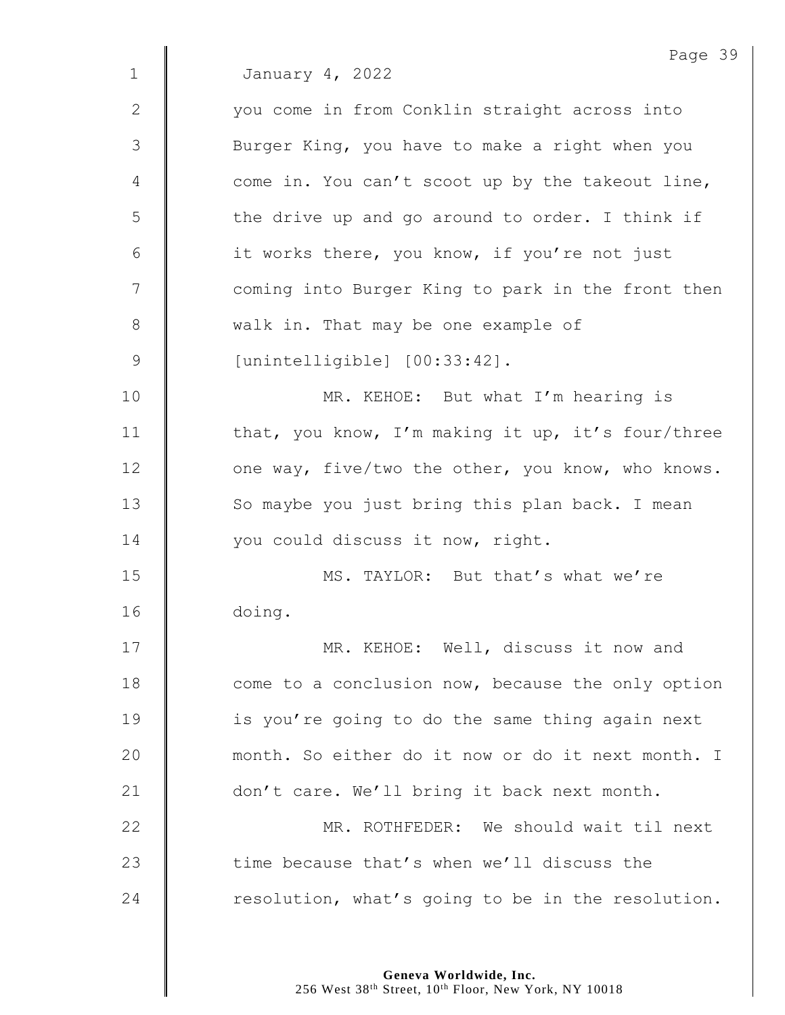Page 39 1 January 4, 2022 2 | vou come in from Conklin straight across into 3 | Burger King, you have to make a right when you  $4 \parallel$  come in. You can't scoot up by the takeout line,  $5 \parallel$  the drive up and go around to order. I think if  $6$  | it works there, you know, if you're not just 7 || coming into Burger King to park in the front then 8 walk in. That may be one example of 9 [unintelligible] [00:33:42]. 10 | MR. KEHOE: But what I'm hearing is 11  $\parallel$  that, you know, I'm making it up, it's four/three 12 | one way, five/two the other, you know, who knows. 13 So maybe you just bring this plan back. I mean 14 | you could discuss it now, right. 15 **MS. TAYLOR:** But that's what we're 16 doing. 17 | MR. KEHOE: Well, discuss it now and 18 **come** to a conclusion now, because the only option 19 | is you're going to do the same thing again next 20 | month. So either do it now or do it next month. I 21 don't care. We'll bring it back next month. 22 MR. ROTHFEDER: We should wait til next 23  $\parallel$  time because that's when we'll discuss the  $24$  | resolution, what's going to be in the resolution.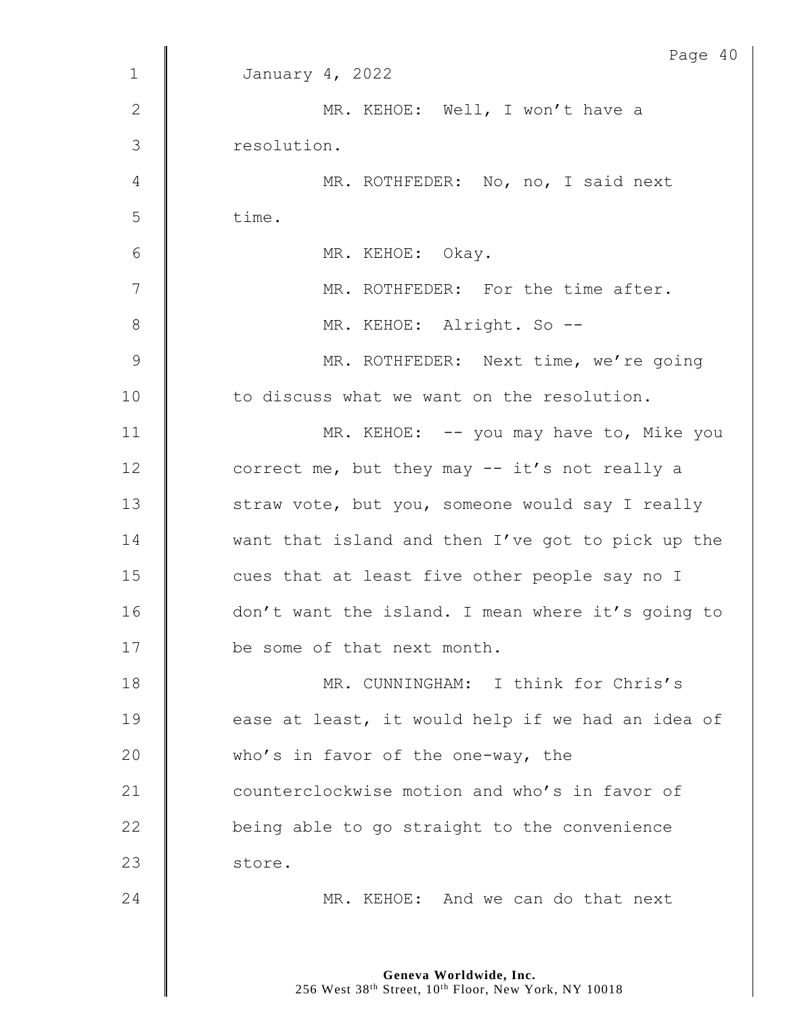|               | Page 40                                           |
|---------------|---------------------------------------------------|
| $\mathbf 1$   | January 4, 2022                                   |
| $\mathbf{2}$  | MR. KEHOE: Well, I won't have a                   |
| 3             | resolution.                                       |
| 4             | MR. ROTHFEDER: No, no, I said next                |
| 5             | time.                                             |
| 6             | MR. KEHOE: Okay.                                  |
| 7             | MR. ROTHFEDER: For the time after.                |
| $\,8\,$       | MR. KEHOE: Alright. So --                         |
| $\mathcal{G}$ | MR. ROTHFEDER: Next time, we're going             |
| 10            | to discuss what we want on the resolution.        |
| 11            | MR. KEHOE: -- you may have to, Mike you           |
| 12            | correct me, but they may $--$ it's not really a   |
| 13            | straw vote, but you, someone would say I really   |
| 14            | want that island and then I've got to pick up the |
| 15            | cues that at least five other people say no I     |
| 16            | don't want the island. I mean where it's going to |
| 17            | be some of that next month.                       |
| 18            | MR. CUNNINGHAM: I think for Chris's               |
| 19            | ease at least, it would help if we had an idea of |
| 20            | who's in favor of the one-way, the                |
| 21            | counterclockwise motion and who's in favor of     |
| 22            | being able to go straight to the convenience      |
| 23            | store.                                            |
| 24            | MR. KEHOE: And we can do that next                |
|               |                                                   |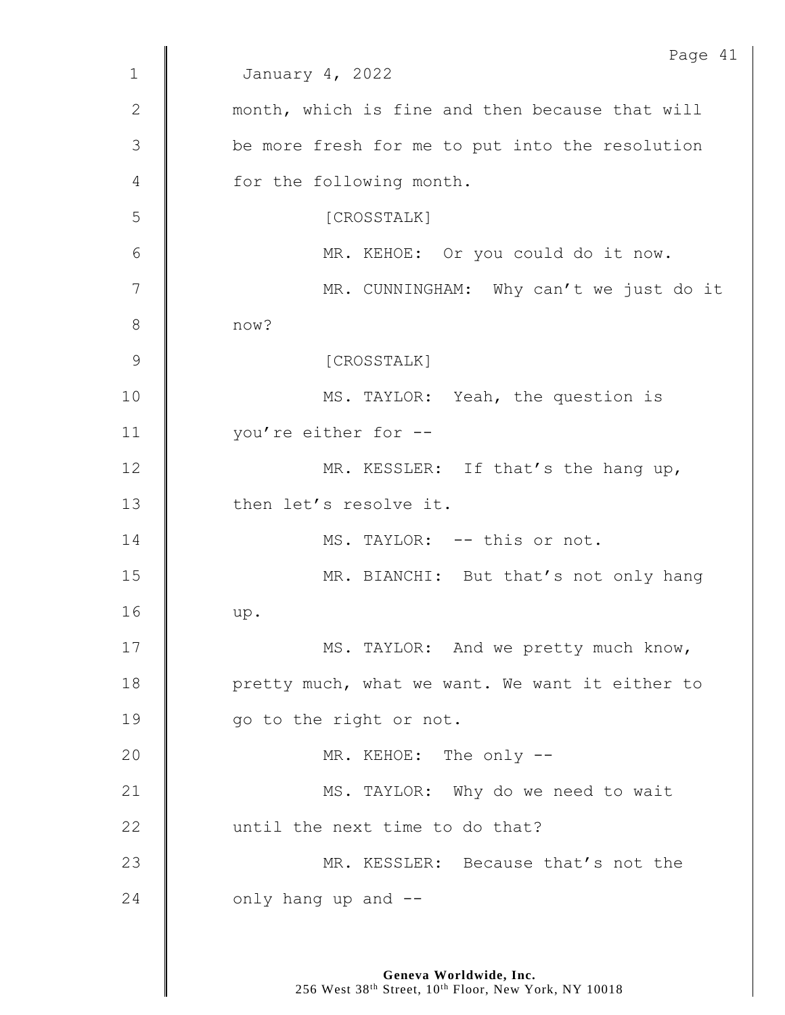|              | Page 41                                         |
|--------------|-------------------------------------------------|
| $\mathbf{1}$ | January 4, 2022                                 |
| 2            | month, which is fine and then because that will |
| 3            | be more fresh for me to put into the resolution |
| 4            | for the following month.                        |
| 5            | [CROSSTALK]                                     |
| 6            | MR. KEHOE: Or you could do it now.              |
| 7            | MR. CUNNINGHAM: Why can't we just do it         |
| 8            | now?                                            |
| 9            | [CROSSTALK]                                     |
| 10           | MS. TAYLOR: Yeah, the question is               |
| 11           | you're either for --                            |
| 12           | MR. KESSLER: If that's the hang up,             |
| 13           | then let's resolve it.                          |
| 14           | MS. TAYLOR: -- this or not.                     |
| 15           | MR. BIANCHI: But that's not only hang           |
| 16           | up.                                             |
| 17           | MS. TAYLOR: And we pretty much know,            |
| 18           | pretty much, what we want. We want it either to |
| 19           | go to the right or not.                         |
| 20           | MR. KEHOE: The only --                          |
| 21           | MS. TAYLOR: Why do we need to wait              |
| 22           | until the next time to do that?                 |
| 23           | MR. KESSLER: Because that's not the             |
| 24           | only hang up and --                             |
|              |                                                 |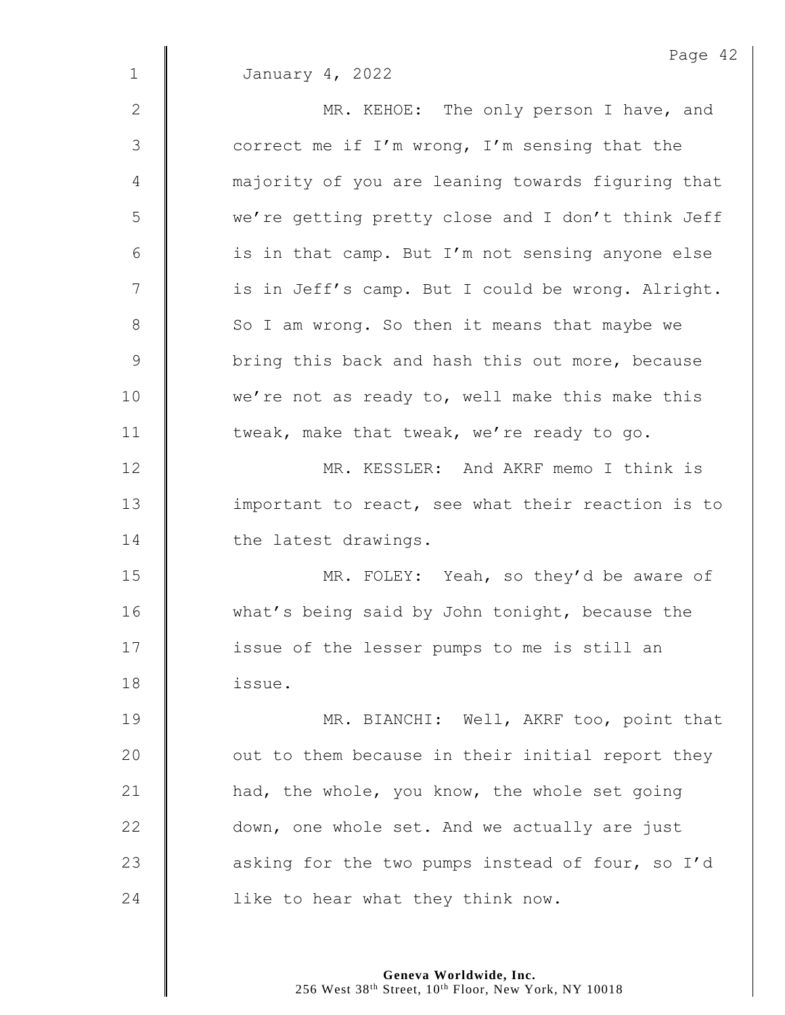|               | Page 42                                           |
|---------------|---------------------------------------------------|
| $\mathbf{1}$  | January 4, 2022                                   |
| $\mathbf{2}$  | MR. KEHOE: The only person I have, and            |
| 3             | correct me if I'm wrong, I'm sensing that the     |
| 4             | majority of you are leaning towards figuring that |
| 5             | we're getting pretty close and I don't think Jeff |
| 6             | is in that camp. But I'm not sensing anyone else  |
| 7             | is in Jeff's camp. But I could be wrong. Alright. |
| $8\,$         | So I am wrong. So then it means that maybe we     |
| $\mathcal{G}$ | bring this back and hash this out more, because   |
| 10            | we're not as ready to, well make this make this   |
| 11            | tweak, make that tweak, we're ready to go.        |
| 12            | MR. KESSLER: And AKRF memo I think is             |
| 13            | important to react, see what their reaction is to |
| 14            | the latest drawings.                              |
| 15            | MR. FOLEY: Yeah, so they'd be aware of            |
| 16            | what's being said by John tonight, because the    |
| 17            | issue of the lesser pumps to me is still an       |
| 18            | issue.                                            |
| 19            | MR. BIANCHI: Well, AKRF too, point that           |
| 20            | out to them because in their initial report they  |
| 21            | had, the whole, you know, the whole set going     |
| 22            | down, one whole set. And we actually are just     |
| 23            | asking for the two pumps instead of four, so I'd  |
| 24            | like to hear what they think now.                 |
|               |                                                   |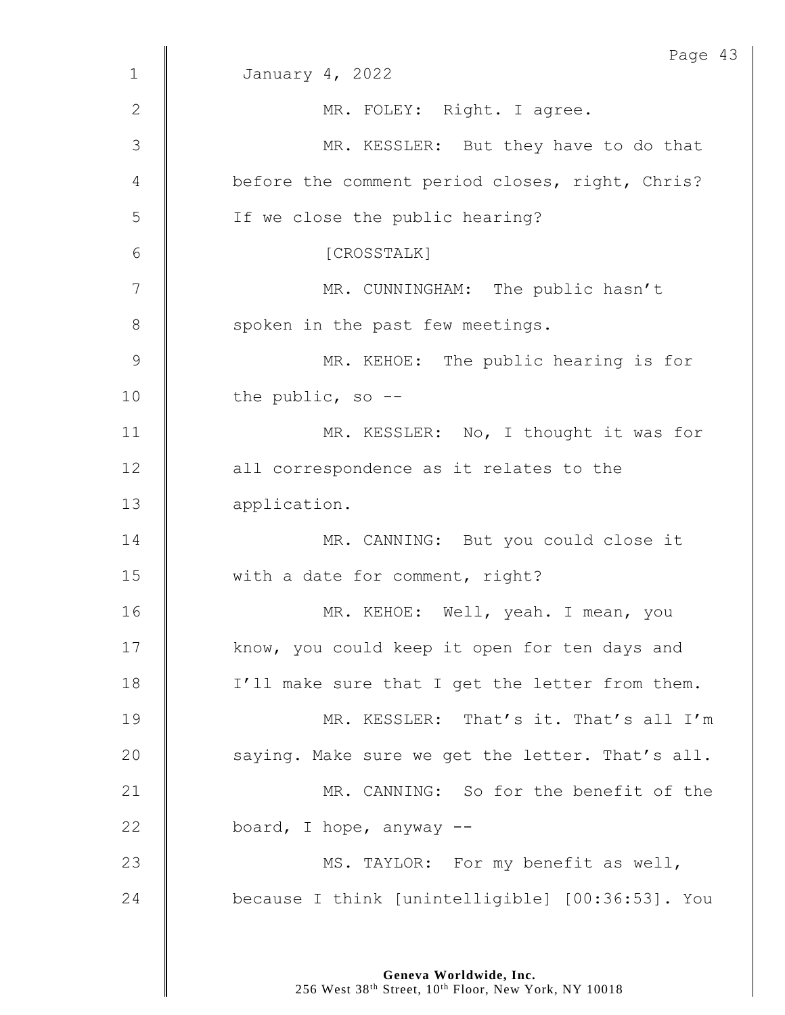|              | Page 43                                          |
|--------------|--------------------------------------------------|
| $\mathbf{1}$ | January 4, 2022                                  |
| $\mathbf{2}$ | MR. FOLEY: Right. I agree.                       |
| 3            | MR. KESSLER: But they have to do that            |
| 4            | before the comment period closes, right, Chris?  |
| 5            | If we close the public hearing?                  |
| 6            | [CROSSTALK]                                      |
| 7            | MR. CUNNINGHAM: The public hasn't                |
| 8            | spoken in the past few meetings.                 |
| 9            | MR. KEHOE: The public hearing is for             |
| 10           | the public, so $-$ -                             |
| 11           | MR. KESSLER: No, I thought it was for            |
| 12           | all correspondence as it relates to the          |
| 13           | application.                                     |
| 14           | MR. CANNING: But you could close it              |
| 15           | with a date for comment, right?                  |
| 16           | MR. KEHOE: Well, yeah. I mean, you               |
| 17           | know, you could keep it open for ten days and    |
| 18           | I'll make sure that I get the letter from them.  |
| 19           | MR. KESSLER: That's it. That's all I'm           |
| 20           | saying. Make sure we get the letter. That's all. |
| 21           | MR. CANNING: So for the benefit of the           |
| 22           | board, I hope, anyway --                         |
| 23           | MS. TAYLOR: For my benefit as well,              |
| 24           | because I think [unintelligible] [00:36:53]. You |
|              |                                                  |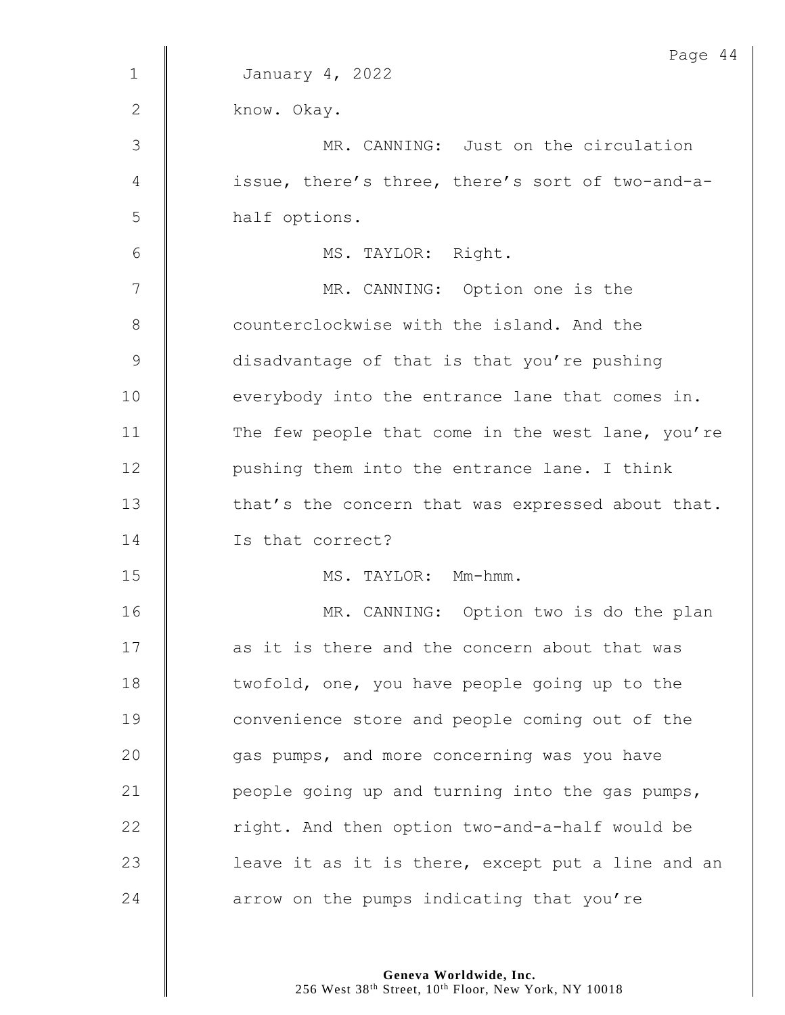|              | Page 44                                           |
|--------------|---------------------------------------------------|
| $\mathbf{1}$ | January 4, 2022                                   |
| $\mathbf{2}$ | know. Okay.                                       |
| 3            | MR. CANNING: Just on the circulation              |
| 4            | issue, there's three, there's sort of two-and-a-  |
| 5            | half options.                                     |
| 6            | MS. TAYLOR: Right.                                |
| 7            | MR. CANNING: Option one is the                    |
| 8            | counterclockwise with the island. And the         |
| $\mathsf 9$  | disadvantage of that is that you're pushing       |
| 10           | everybody into the entrance lane that comes in.   |
| 11           | The few people that come in the west lane, you're |
| 12           | pushing them into the entrance lane. I think      |
| 13           | that's the concern that was expressed about that. |
| 14           | Is that correct?                                  |
| 15           | MS. TAYLOR: Mm-hmm.                               |
| 16           | MR. CANNING: Option two is do the plan            |
| 17           | as it is there and the concern about that was     |
| 18           | twofold, one, you have people going up to the     |
| 19           | convenience store and people coming out of the    |
| 20           | gas pumps, and more concerning was you have       |
| 21           | people going up and turning into the gas pumps,   |
| 22           | right. And then option two-and-a-half would be    |
| 23           | leave it as it is there, except put a line and an |
| 24           | arrow on the pumps indicating that you're         |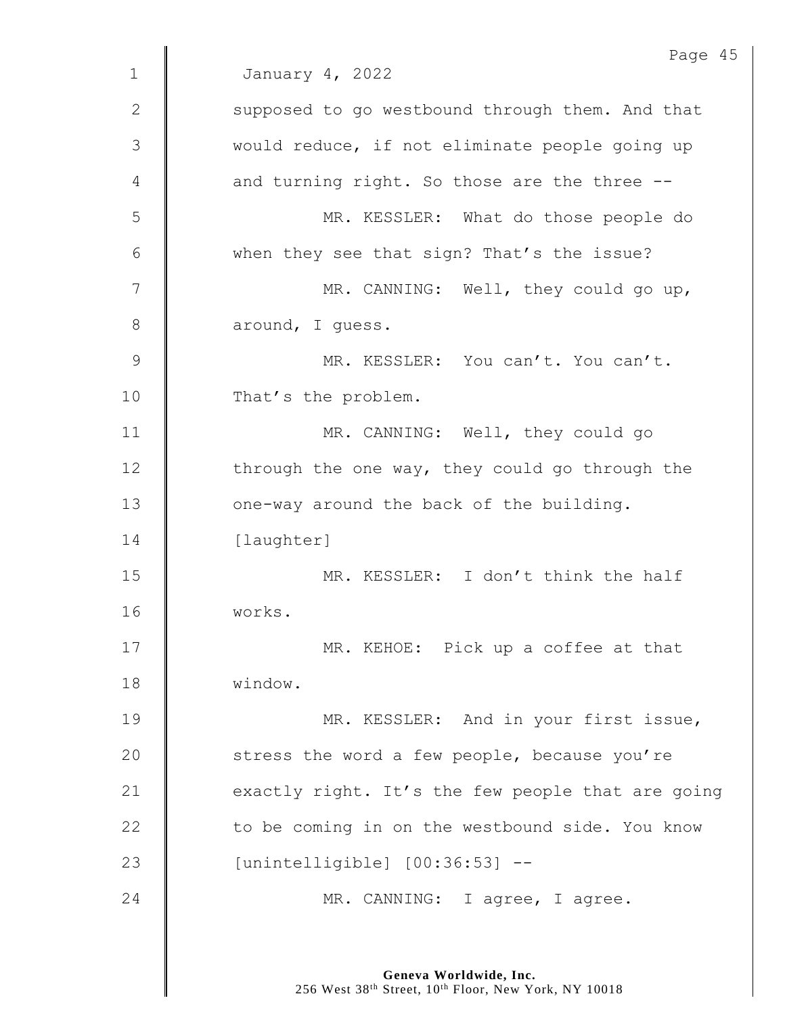|              | Page 45                                           |
|--------------|---------------------------------------------------|
| $\mathbf 1$  | January 4, 2022                                   |
| $\mathbf{2}$ | supposed to go westbound through them. And that   |
| 3            | would reduce, if not eliminate people going up    |
| 4            | and turning right. So those are the three --      |
| 5            | MR. KESSLER: What do those people do              |
| 6            | when they see that sign? That's the issue?        |
| 7            | MR. CANNING: Well, they could go up,              |
| 8            | around, I guess.                                  |
| $\mathsf 9$  | MR. KESSLER: You can't. You can't.                |
| 10           | That's the problem.                               |
| 11           | MR. CANNING: Well, they could go                  |
| 12           | through the one way, they could go through the    |
| 13           | one-way around the back of the building.          |
| 14           | [laughter]                                        |
| 15           | MR. KESSLER: I don't think the half               |
| 16           | works.                                            |
| 17           | MR. KEHOE: Pick up a coffee at that               |
| 18           | window.                                           |
| 19           | MR. KESSLER: And in your first issue,             |
| 20           | stress the word a few people, because you're      |
| 21           | exactly right. It's the few people that are going |
| 22           | to be coming in on the westbound side. You know   |
|              |                                                   |
| 23           | [unintelligible] [00:36:53] --                    |
| 24           | MR. CANNING: I agree, I agree.                    |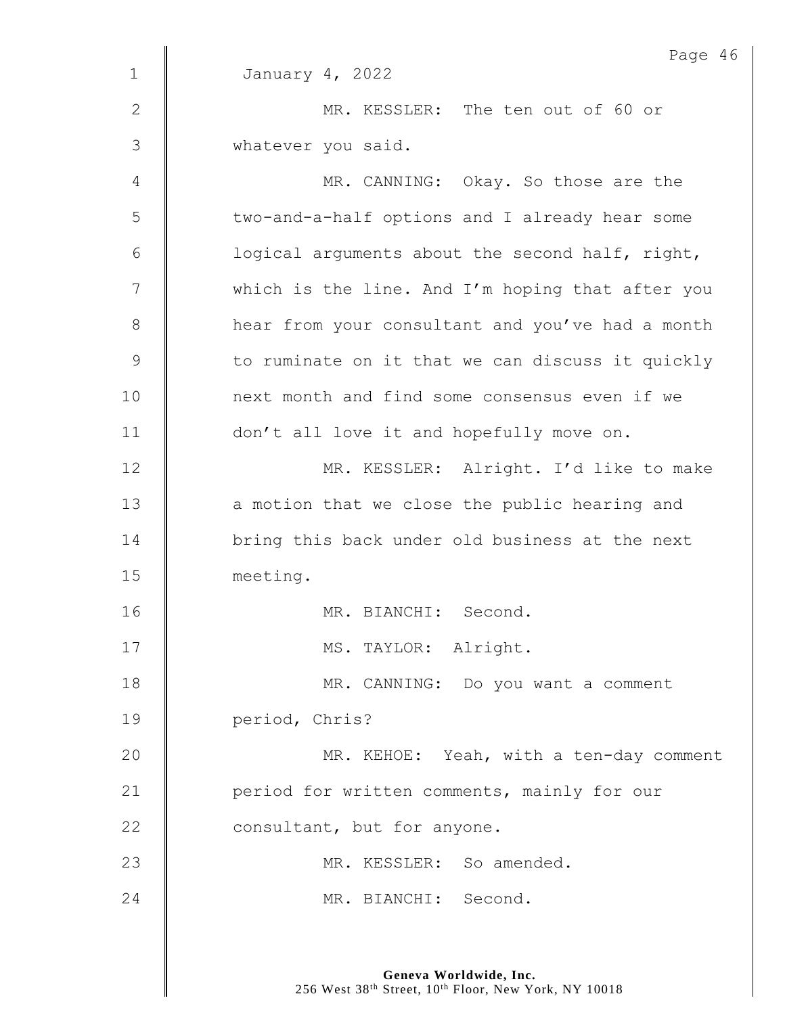|               | Page 46                                          |
|---------------|--------------------------------------------------|
| $\mathbf 1$   | January 4, 2022                                  |
| $\mathbf{2}$  | MR. KESSLER: The ten out of 60 or                |
| 3             | whatever you said.                               |
| 4             | MR. CANNING: Okay. So those are the              |
| 5             | two-and-a-half options and I already hear some   |
| 6             | logical arguments about the second half, right,  |
| 7             | which is the line. And I'm hoping that after you |
| $8\,$         | hear from your consultant and you've had a month |
| $\mathcal{G}$ | to ruminate on it that we can discuss it quickly |
| 10            | next month and find some consensus even if we    |
| 11            | don't all love it and hopefully move on.         |
| 12            | MR. KESSLER: Alright. I'd like to make           |
| 13            | a motion that we close the public hearing and    |
| 14            | bring this back under old business at the next   |
| 15            | meeting.                                         |
| 16            | MR. BIANCHI: Second.                             |
| 17            | MS. TAYLOR: Alright.                             |
| 18            | MR. CANNING: Do you want a comment               |
| 19            | period, Chris?                                   |
| 20            | MR. KEHOE: Yeah, with a ten-day comment          |
| 21            | period for written comments, mainly for our      |
| 22            | consultant, but for anyone.                      |
| 23            | MR. KESSLER: So amended.                         |
| 24            | MR. BIANCHI: Second.                             |
|               |                                                  |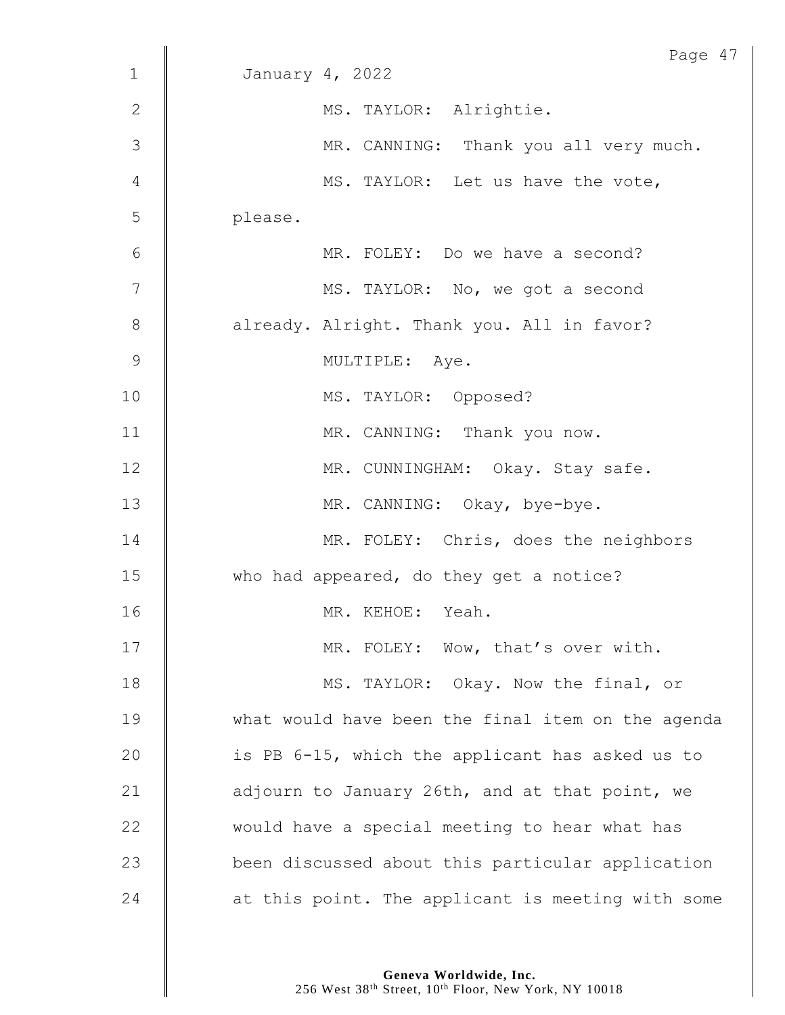|                 | Page 47                                           |
|-----------------|---------------------------------------------------|
| $\mathbf{1}$    | January 4, 2022                                   |
| $\mathbf{2}$    | MS. TAYLOR: Alrightie.                            |
| 3               | MR. CANNING: Thank you all very much.             |
| 4               | MS. TAYLOR: Let us have the vote,                 |
| 5               | please.                                           |
| $6\phantom{1}6$ | MR. FOLEY: Do we have a second?                   |
| $\overline{7}$  | MS. TAYLOR: No, we got a second                   |
| $8\,$           | already. Alright. Thank you. All in favor?        |
| 9               | MULTIPLE: Aye.                                    |
| 10              | MS. TAYLOR: Opposed?                              |
| 11              | MR. CANNING: Thank you now.                       |
| 12              | MR. CUNNINGHAM: Okay. Stay safe.                  |
| 13              | MR. CANNING: Okay, bye-bye.                       |
| 14              | MR. FOLEY: Chris, does the neighbors              |
| 15              | who had appeared, do they get a notice?           |
| 16              | MR. KEHOE: Yeah.                                  |
| 17              | MR. FOLEY: Wow, that's over with.                 |
| 18              | MS. TAYLOR: Okay. Now the final, or               |
| 19              | what would have been the final item on the agenda |
| 20              | is PB 6-15, which the applicant has asked us to   |
| 21              | adjourn to January 26th, and at that point, we    |
| 22              | would have a special meeting to hear what has     |
| 23              | been discussed about this particular application  |
| 24              | at this point. The applicant is meeting with some |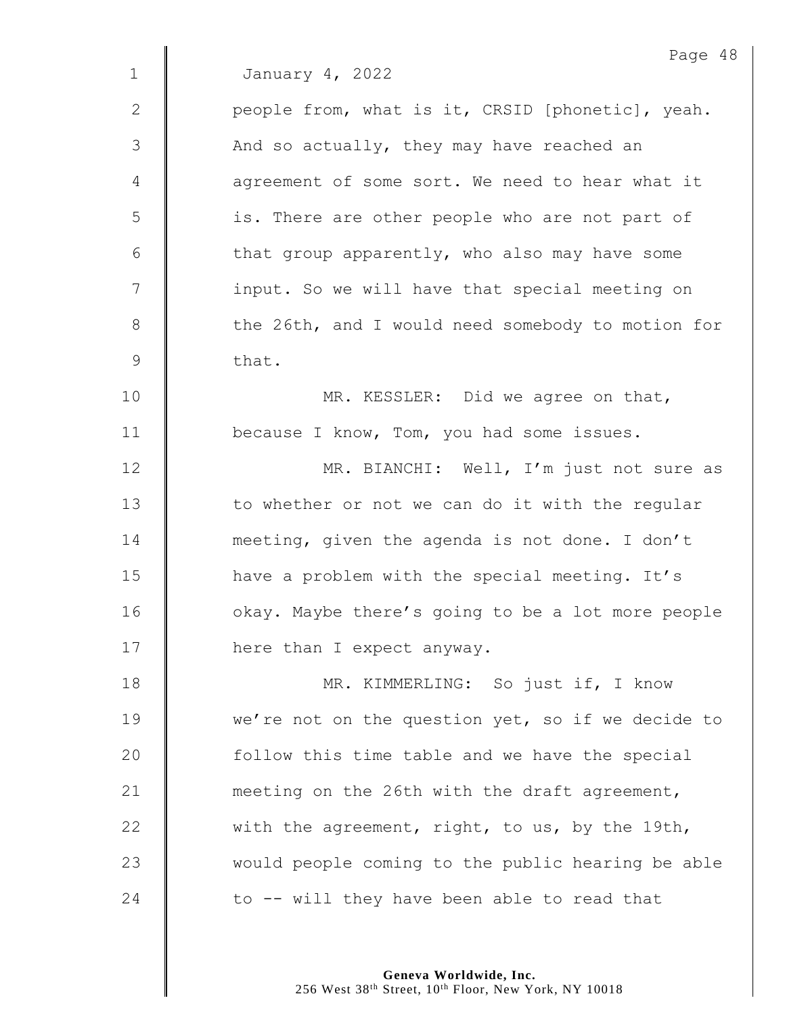|              | Page 48                                           |
|--------------|---------------------------------------------------|
| $\mathbf{1}$ | January 4, 2022                                   |
| $\mathbf{2}$ | people from, what is it, CRSID [phonetic], yeah.  |
| 3            | And so actually, they may have reached an         |
| 4            | agreement of some sort. We need to hear what it   |
| 5            | is. There are other people who are not part of    |
| 6            | that group apparently, who also may have some     |
| 7            | input. So we will have that special meeting on    |
| $8\,$        | the 26th, and I would need somebody to motion for |
| 9            | that.                                             |
| 10           | MR. KESSLER: Did we agree on that,                |
| 11           | because I know, Tom, you had some issues.         |
| 12           | MR. BIANCHI: Well, I'm just not sure as           |
| 13           | to whether or not we can do it with the regular   |
| 14           | meeting, given the agenda is not done. I don't    |
| 15           | have a problem with the special meeting. It's     |
| 16           | okay. Maybe there's going to be a lot more people |
| 17           | here than I expect anyway.                        |
| 18           | MR. KIMMERLING: So just if, I know                |
| 19           | we're not on the question yet, so if we decide to |
| 20           | follow this time table and we have the special    |
| 21           | meeting on the 26th with the draft agreement,     |
| 22           | with the agreement, right, to us, by the 19th,    |
| 23           | would people coming to the public hearing be able |
| 24           | to -- will they have been able to read that       |
|              |                                                   |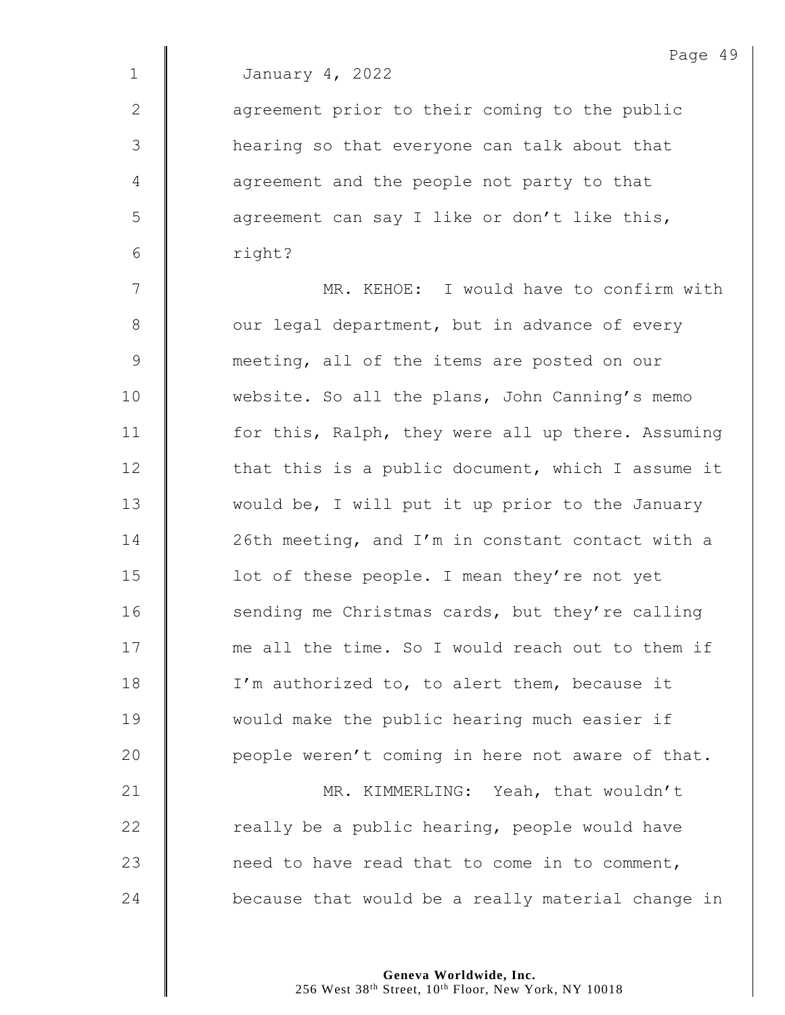|                | Page 49                                           |
|----------------|---------------------------------------------------|
| $\mathbf 1$    | January 4, 2022                                   |
| $\mathbf{2}$   | agreement prior to their coming to the public     |
| 3              | hearing so that everyone can talk about that      |
| $\overline{4}$ | agreement and the people not party to that        |
| 5              | agreement can say I like or don't like this,      |
| 6              | right?                                            |
| 7              | MR. KEHOE: I would have to confirm with           |
| $\,8\,$        | our legal department, but in advance of every     |
| $\mathsf 9$    | meeting, all of the items are posted on our       |
| 10             | website. So all the plans, John Canning's memo    |
| 11             | for this, Ralph, they were all up there. Assuming |
| 12             | that this is a public document, which I assume it |
| 13             | would be, I will put it up prior to the January   |
| 14             | 26th meeting, and I'm in constant contact with a  |
| 15             | lot of these people. I mean they're not yet       |
| 16             | sending me Christmas cards, but they're calling   |
| 17             | me all the time. So I would reach out to them if  |
| 18             | I'm authorized to, to alert them, because it      |
| 19             | would make the public hearing much easier if      |
| 20             | people weren't coming in here not aware of that.  |
| 21             | MR. KIMMERLING: Yeah, that wouldn't               |
| 22             | really be a public hearing, people would have     |
| 23             | need to have read that to come in to comment,     |
| 24             | because that would be a really material change in |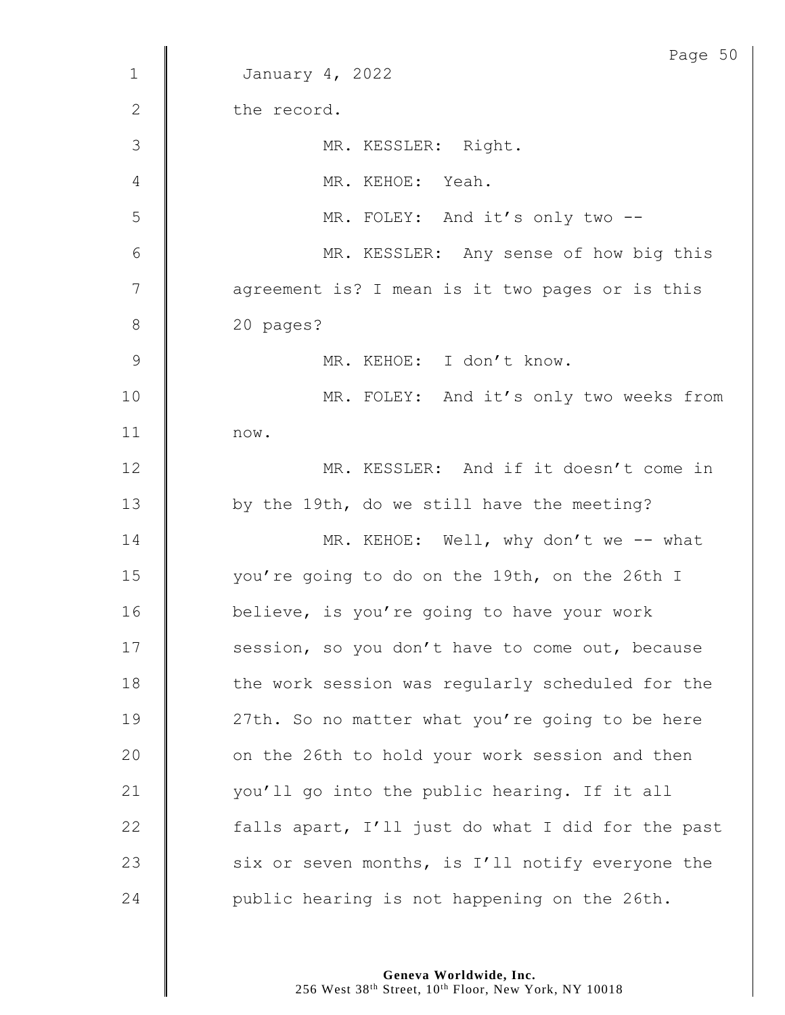|                | Page 50                                           |
|----------------|---------------------------------------------------|
| $1\,$          | January 4, 2022                                   |
| $\mathbf{2}$   | the record.                                       |
| 3              | MR. KESSLER: Right.                               |
| 4              | MR. KEHOE: Yeah.                                  |
| 5              | MR. FOLEY: And it's only two --                   |
| 6              | MR. KESSLER: Any sense of how big this            |
| $\overline{7}$ | agreement is? I mean is it two pages or is this   |
| $\,8\,$        | 20 pages?                                         |
| $\mathcal{G}$  | MR. KEHOE: I don't know.                          |
| 10             | MR. FOLEY: And it's only two weeks from           |
| 11             | now.                                              |
| 12             | MR. KESSLER: And if it doesn't come in            |
| 13             | by the 19th, do we still have the meeting?        |
| 14             | MR. KEHOE: Well, why don't we -- what             |
| 15             | you're going to do on the 19th, on the 26th I     |
| 16             | believe, is you're going to have your work        |
| 17             | session, so you don't have to come out, because   |
| 18             | the work session was regularly scheduled for the  |
| 19             | 27th. So no matter what you're going to be here   |
| 20             | on the 26th to hold your work session and then    |
| 21             | you'll go into the public hearing. If it all      |
| 22             | falls apart, I'll just do what I did for the past |
| 23             | six or seven months, is I'll notify everyone the  |
| 24             | public hearing is not happening on the 26th.      |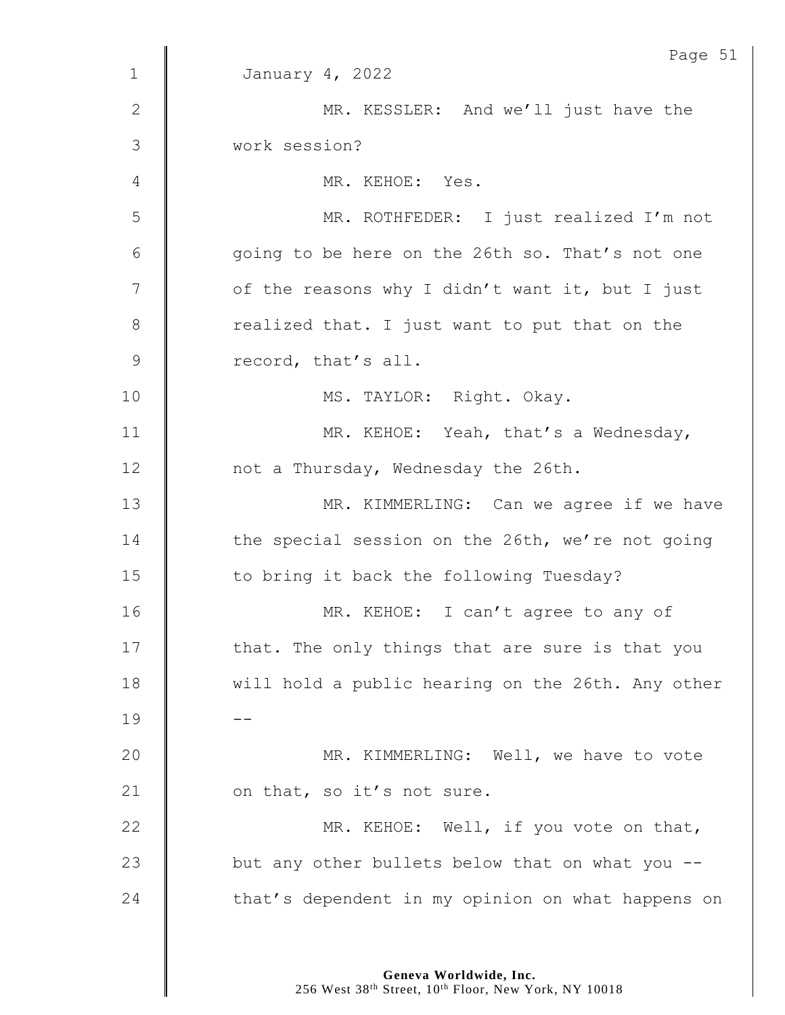|                | Page 51                                           |
|----------------|---------------------------------------------------|
| $\mathbf 1$    | January 4, 2022                                   |
| $\mathbf{2}$   | MR. KESSLER: And we'll just have the              |
| $\mathfrak{Z}$ | work session?                                     |
| 4              | MR. KEHOE: Yes.                                   |
| 5              | MR. ROTHFEDER: I just realized I'm not            |
| $\epsilon$     | going to be here on the 26th so. That's not one   |
| 7              | of the reasons why I didn't want it, but I just   |
| 8              | realized that. I just want to put that on the     |
| $\mathsf 9$    | record, that's all.                               |
| 10             | MS. TAYLOR: Right. Okay.                          |
| 11             | MR. KEHOE: Yeah, that's a Wednesday,              |
| 12             | not a Thursday, Wednesday the 26th.               |
| 13             | MR. KIMMERLING: Can we agree if we have           |
| 14             | the special session on the 26th, we're not going  |
| 15             | to bring it back the following Tuesday?           |
| 16             | MR. KEHOE: I can't agree to any of                |
| 17             | that. The only things that are sure is that you   |
| 18             | will hold a public hearing on the 26th. Any other |
| 19             |                                                   |
| 20             | MR. KIMMERLING: Well, we have to vote             |
| 21             | on that, so it's not sure.                        |
| 22             | MR. KEHOE: Well, if you vote on that,             |
| 23             | but any other bullets below that on what you --   |
| 24             | that's dependent in my opinion on what happens on |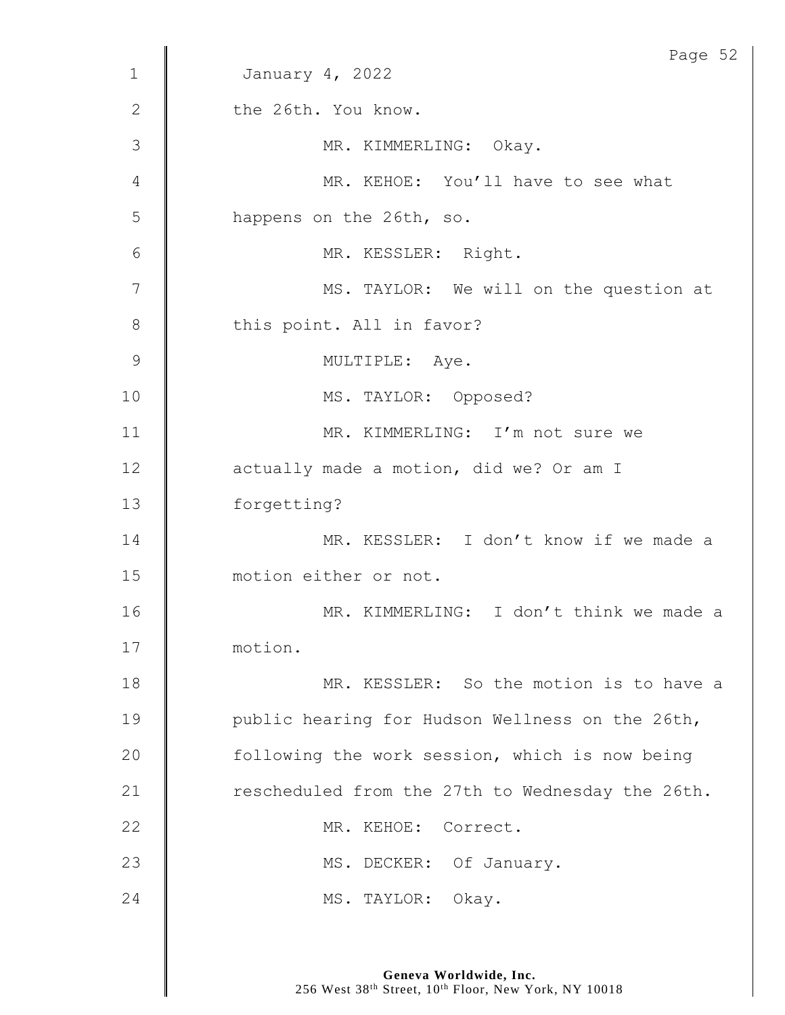|             | Page 52                                          |
|-------------|--------------------------------------------------|
| $\mathbf 1$ | January 4, 2022                                  |
| 2           | the 26th. You know.                              |
| 3           | MR. KIMMERLING: Okay.                            |
| 4           | MR. KEHOE: You'll have to see what               |
| 5           | happens on the 26th, so.                         |
| 6           | MR. KESSLER: Right.                              |
| 7           | MS. TAYLOR: We will on the question at           |
| $\,8\,$     | this point. All in favor?                        |
| 9           | MULTIPLE: Aye.                                   |
| 10          | MS. TAYLOR: Opposed?                             |
| 11          | MR. KIMMERLING: I'm not sure we                  |
| 12          | actually made a motion, did we? Or am I          |
| 13          | forgetting?                                      |
| 14          | MR. KESSLER: I don't know if we made a           |
| 15          | motion either or not.                            |
| 16          | MR. KIMMERLING: I don't think we made a          |
| 17          | motion.                                          |
| 18          | MR. KESSLER: So the motion is to have a          |
| 19          | public hearing for Hudson Wellness on the 26th,  |
| 20          | following the work session, which is now being   |
| 21          | rescheduled from the 27th to Wednesday the 26th. |
| 22          | MR. KEHOE: Correct.                              |
| 23          | MS. DECKER: Of January.                          |
| 24          | MS. TAYLOR: Okay.                                |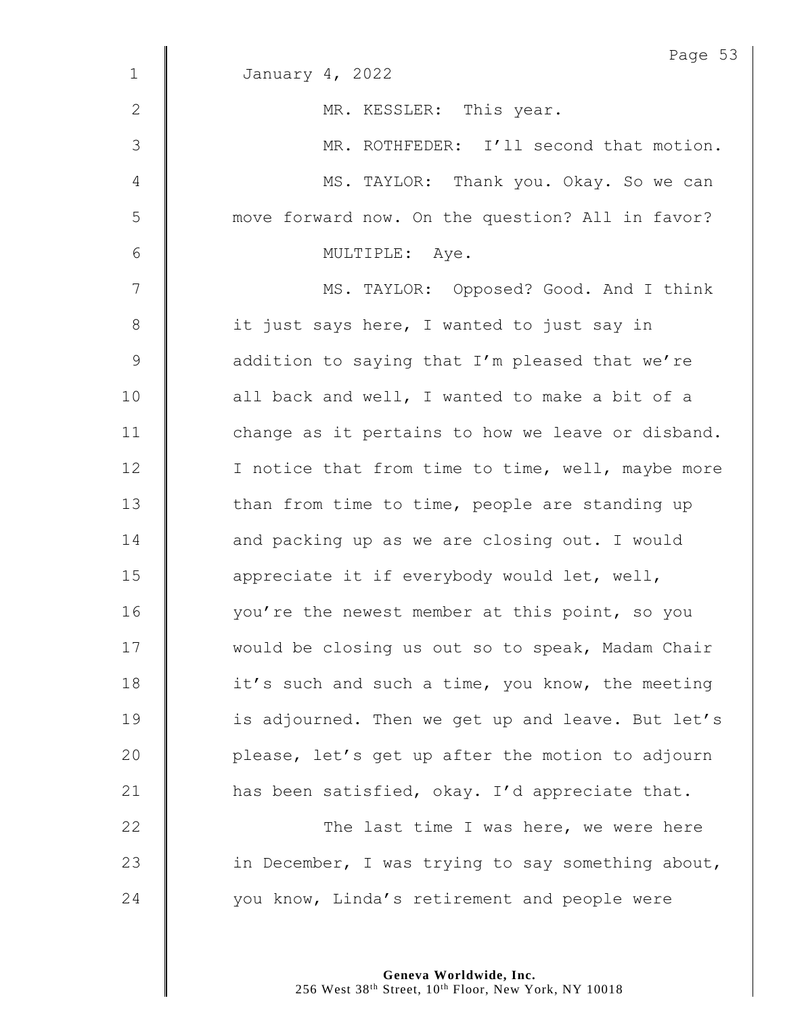|              | Page 53                                           |
|--------------|---------------------------------------------------|
| $\mathbf{1}$ | January 4, 2022                                   |
| $\mathbf{2}$ | MR. KESSLER: This year.                           |
| 3            | MR. ROTHFEDER: I'll second that motion.           |
| 4            | MS. TAYLOR: Thank you. Okay. So we can            |
| 5            | move forward now. On the question? All in favor?  |
| 6            | MULTIPLE: Aye.                                    |
| 7            | MS. TAYLOR: Opposed? Good. And I think            |
| $8\,$        | it just says here, I wanted to just say in        |
| 9            | addition to saying that I'm pleased that we're    |
| 10           | all back and well, I wanted to make a bit of a    |
| 11           | change as it pertains to how we leave or disband. |
| 12           | I notice that from time to time, well, maybe more |
| 13           | than from time to time, people are standing up    |
| 14           | and packing up as we are closing out. I would     |
| 15           | appreciate it if everybody would let, well,       |
| 16           | you're the newest member at this point, so you    |
| 17           | would be closing us out so to speak, Madam Chair  |
| 18           | it's such and such a time, you know, the meeting  |
| 19           | is adjourned. Then we get up and leave. But let's |
| 20           | please, let's get up after the motion to adjourn  |
| 21           | has been satisfied, okay. I'd appreciate that.    |
| 22           | The last time I was here, we were here            |
| 23           | in December, I was trying to say something about, |
| 24           | you know, Linda's retirement and people were      |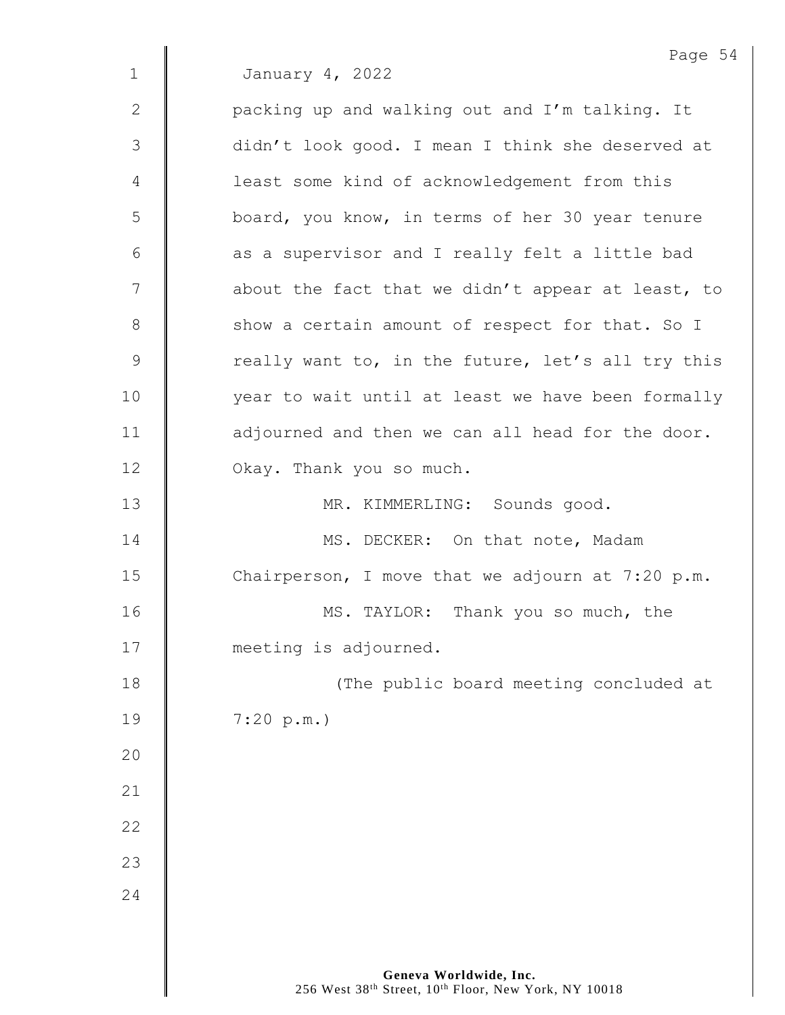Page 54 1 January 4, 2022 2 | packing up and walking out and I'm talking. It 3 | didn't look good. I mean I think she deserved at 4 | least some kind of acknowledgement from this 5 | board, you know, in terms of her 30 year tenure  $6$  | as a supervisor and I really felt a little bad 7 | about the fact that we didn't appear at least, to 8 Show a certain amount of respect for that. So I  $9 \parallel$  really want to, in the future, let's all try this 10 | vear to wait until at least we have been formally 11 | adjourned and then we can all head for the door. 12 **C** Okay. Thank you so much. 13 MR. KIMMERLING: Sounds good. 14 **MS. DECKER:** On that note, Madam 15  $\parallel$  Chairperson, I move that we adjourn at 7:20 p.m. 16 **MS. TAYLOR:** Thank you so much, the 17 **meeting is adjourned.** 18 || (The public board meeting concluded at 19 7:20 p.m.) 20 21 22 23 24